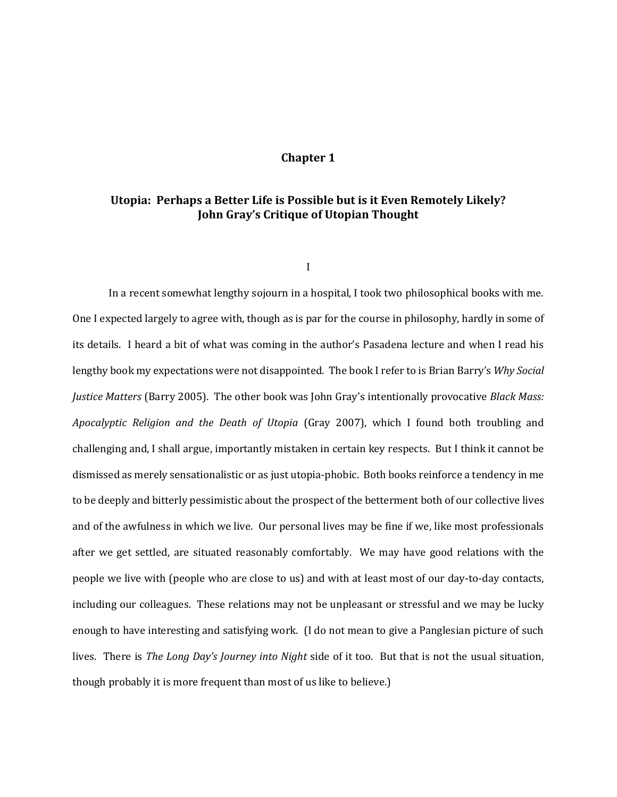## **Chapter 1**

# **Utopia: Perhaps a Better Life is Possible but is it Even Remotely Likely? John Gray's Critique of Utopian Thought**

I

In a recent somewhat lengthy sojourn in a hospital, I took two philosophical books with me. One I expected largely to agree with, though as is par for the course in philosophy, hardly in some of its details. I heard a bit of what was coming in the author's Pasadena lecture and when I read his lengthy book my expectations were not disappointed. The book I refer to is Brian Barry's *Why Social Justice Matters* (Barry 2005). The other book was John Gray's intentionally provocative *Black Mass: Apocalyptic Religion and the Death of Utopia* (Gray 2007), which I found both troubling and challenging and, I shall argue, importantly mistaken in certain key respects. But I think it cannot be dismissed as merely sensationalistic or as just utopia-phobic. Both books reinforce a tendency in me to be deeply and bitterly pessimistic about the prospect of the betterment both of our collective lives and of the awfulness in which we live. Our personal lives may be fine if we, like most professionals after we get settled, are situated reasonably comfortably. We may have good relations with the people we live with (people who are close to us) and with at least most of our day-to-day contacts, including our colleagues. These relations may not be unpleasant or stressful and we may be lucky enough to have interesting and satisfying work. (I do not mean to give a Panglesian picture of such lives. There is *The Long Day's Journey into Night* side of it too. But that is not the usual situation, though probably it is more frequent than most of us like to believe.)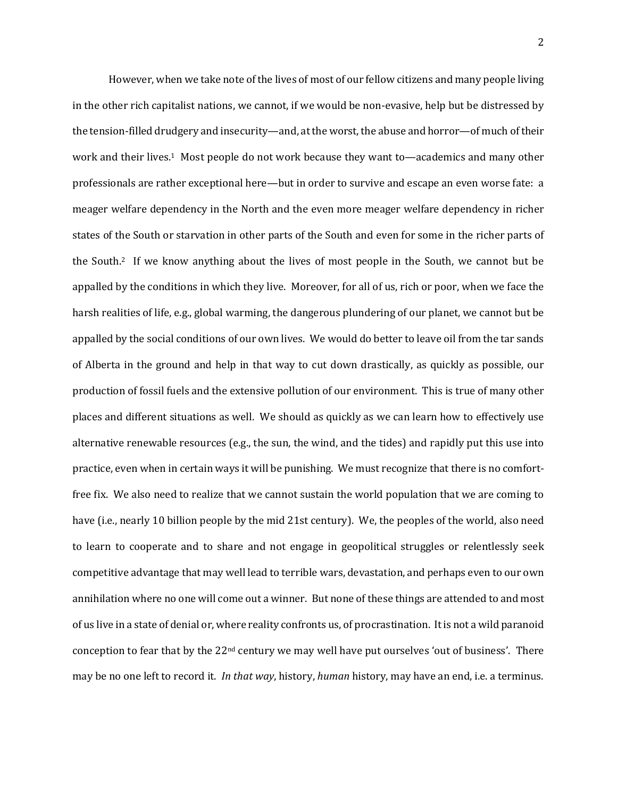However, when we take note of the lives of most of our fellow citizens and many people living in the other rich capitalist nations, we cannot, if we would be non-evasive, help but be distressed by the tension-filled drudgery and insecurity—and, at the worst, the abuse and horror—of much of their work and their lives.1 Most people do not work because they want to—academics and many other professionals are rather exceptional here—but in order to survive and escape an even worse fate: a meager welfare dependency in the North and the even more meager welfare dependency in richer states of the South or starvation in other parts of the South and even for some in the richer parts of the South. <sup>2</sup> If we know anything about the lives of most people in the South, we cannot but be appalled by the conditions in which they live. Moreover, for all of us, rich or poor, when we face the harsh realities of life, e.g., global warming, the dangerous plundering of our planet, we cannot but be appalled by the social conditions of our own lives. We would do better to leave oil from the tar sands of Alberta in the ground and help in that way to cut down drastically, as quickly as possible, our production of fossil fuels and the extensive pollution of our environment. This is true of many other places and different situations as well. We should as quickly as we can learn how to effectively use alternative renewable resources (e.g., the sun, the wind, and the tides) and rapidly put this use into practice, even when in certain ways it will be punishing. We must recognize that there is no comfortfree fix. We also need to realize that we cannot sustain the world population that we are coming to have (i.e., nearly 10 billion people by the mid 21st century). We, the peoples of the world, also need to learn to cooperate and to share and not engage in geopolitical struggles or relentlessly seek competitive advantage that may well lead to terrible wars, devastation, and perhaps even to our own annihilation where no one will come out a winner. But none of these things are attended to and most of us live in a state of denial or, where reality confronts us, of procrastination. It is not a wild paranoid conception to fear that by the 22nd century we may well have put ourselves 'out of business'. There may be no one left to record it. *In that way*, history, *human* history, may have an end, i.e. a terminus.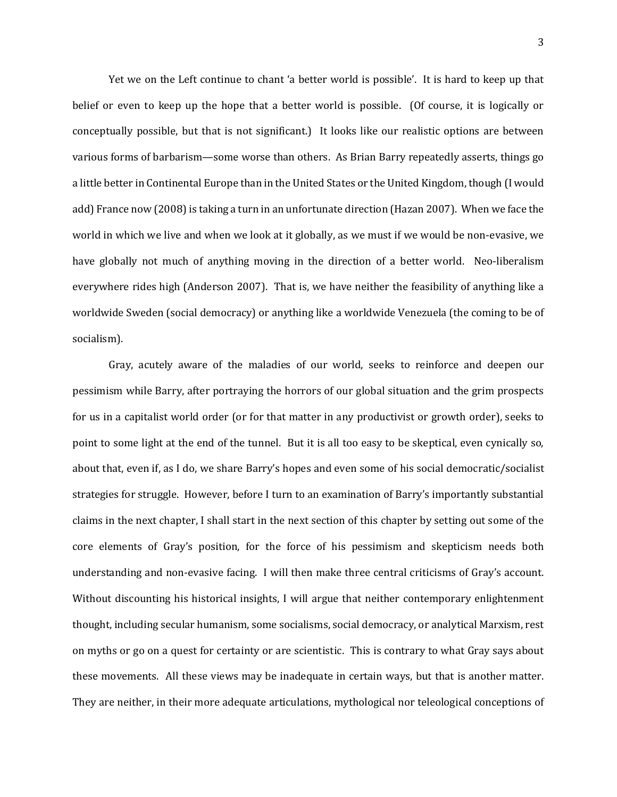Yet we on the Left continue to chant 'a better world is possible'. It is hard to keep up that belief or even to keep up the hope that a better world is possible. (Of course, it is logically or conceptually possible, but that is not significant.) It looks like our realistic options are between various forms of barbarism—some worse than others. As Brian Barry repeatedly asserts, things go a little better in Continental Europe than in the United States or the United Kingdom, though (I would add) France now (2008) is taking a turn in an unfortunate direction (Hazan 2007). When we face the world in which we live and when we look at it globally, as we must if we would be non-evasive, we have globally not much of anything moving in the direction of a better world. Neo-liberalism everywhere rides high (Anderson 2007). That is, we have neither the feasibility of anything like a worldwide Sweden (social democracy) or anything like a worldwide Venezuela (the coming to be of socialism).

Gray, acutely aware of the maladies of our world, seeks to reinforce and deepen our pessimism while Barry, after portraying the horrors of our global situation and the grim prospects for us in a capitalist world order (or for that matter in any productivist or growth order), seeks to point to some light at the end of the tunnel. But it is all too easy to be skeptical, even cynically so, about that, even if, as I do, we share Barry's hopes and even some of his social democratic/socialist strategies for struggle. However, before I turn to an examination of Barry's importantly substantial claims in the next chapter, I shall start in the next section of this chapter by setting out some of the core elements of Gray's position, for the force of his pessimism and skepticism needs both understanding and non-evasive facing. I will then make three central criticisms of Gray's account. Without discounting his historical insights, I will argue that neither contemporary enlightenment thought, including secular humanism, some socialisms, social democracy, or analytical Marxism, rest on myths or go on a quest for certainty or are scientistic. This is contrary to what Gray says about these movements. All these views may be inadequate in certain ways, but that is another matter. They are neither, in their more adequate articulations, mythological nor teleological conceptions of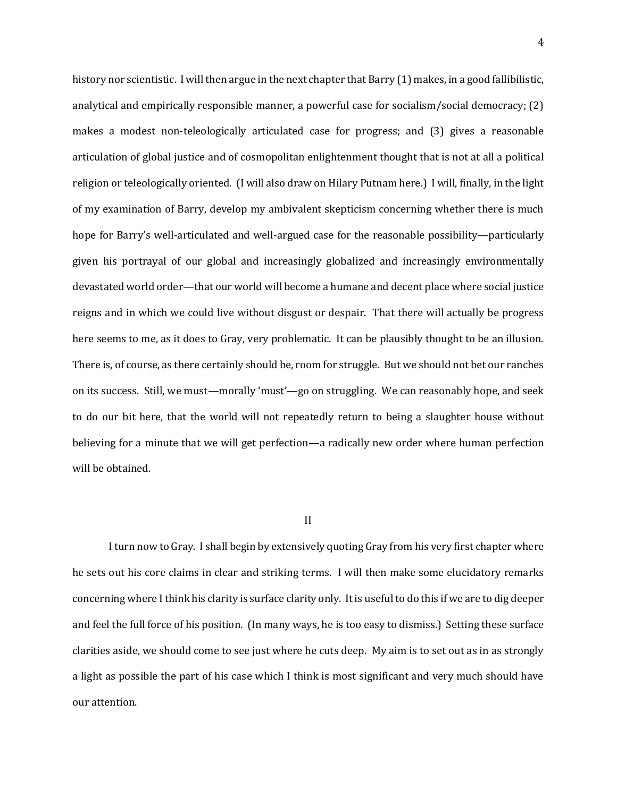history nor scientistic. I will then argue in the next chapter that Barry (1) makes, in a good fallibilistic, analytical and empirically responsible manner, a powerful case for socialism/social democracy; (2) makes a modest non-teleologically articulated case for progress; and (3) gives a reasonable articulation of global justice and of cosmopolitan enlightenment thought that is not at all a political religion or teleologically oriented. (I will also draw on Hilary Putnam here.) I will, finally, in the light of my examination of Barry, develop my ambivalent skepticism concerning whether there is much hope for Barry's well-articulated and well-argued case for the reasonable possibility—particularly given his portrayal of our global and increasingly globalized and increasingly environmentally devastated world order—that our world will become a humane and decent place where social justice reigns and in which we could live without disgust or despair. That there will actually be progress here seems to me, as it does to Gray, very problematic. It can be plausibly thought to be an illusion. There is, of course, as there certainly should be, room for struggle. But we should not bet our ranches on its success. Still, we must—morally 'must'—go on struggling. We can reasonably hope, and seek to do our bit here, that the world will not repeatedly return to being a slaughter house without believing for a minute that we will get perfection—a radically new order where human perfection will be obtained.

### II

I turn now to Gray. I shall begin by extensively quoting Gray from his very first chapter where he sets out his core claims in clear and striking terms. I will then make some elucidatory remarks concerning where I think his clarity is surface clarity only. It is useful to do this if we are to dig deeper and feel the full force of his position. (In many ways, he is too easy to dismiss.) Setting these surface clarities aside, we should come to see just where he cuts deep. My aim is to set out as in as strongly a light as possible the part of his case which I think is most significant and very much should have our attention.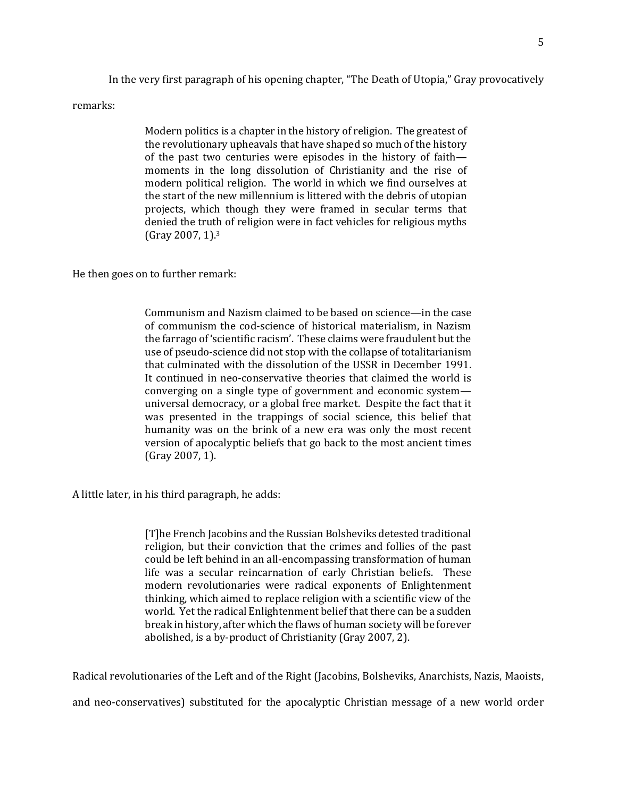In the very first paragraph of his opening chapter, "The Death of Utopia," Gray provocatively

remarks:

Modern politics is a chapter in the history of religion. The greatest of the revolutionary upheavals that have shaped so much of the history of the past two centuries were episodes in the history of faith moments in the long dissolution of Christianity and the rise of modern political religion. The world in which we find ourselves at the start of the new millennium is littered with the debris of utopian projects, which though they were framed in secular terms that denied the truth of religion were in fact vehicles for religious myths (Gray 2007, 1).<sup>3</sup>

He then goes on to further remark:

Communism and Nazism claimed to be based on science—in the case of communism the cod-science of historical materialism, in Nazism the farrago of 'scientific racism'. These claims were fraudulent but the use of pseudo-science did not stop with the collapse of totalitarianism that culminated with the dissolution of the USSR in December 1991. It continued in neo-conservative theories that claimed the world is converging on a single type of government and economic system universal democracy, or a global free market. Despite the fact that it was presented in the trappings of social science, this belief that humanity was on the brink of a new era was only the most recent version of apocalyptic beliefs that go back to the most ancient times (Gray 2007, 1).

A little later, in his third paragraph, he adds:

[T]he French Jacobins and the Russian Bolsheviks detested traditional religion, but their conviction that the crimes and follies of the past could be left behind in an all-encompassing transformation of human life was a secular reincarnation of early Christian beliefs. These modern revolutionaries were radical exponents of Enlightenment thinking, which aimed to replace religion with a scientific view of the world. Yet the radical Enlightenment belief that there can be a sudden break in history, after which the flaws of human society will be forever abolished, is a by-product of Christianity (Gray 2007, 2).

Radical revolutionaries of the Left and of the Right (Jacobins, Bolsheviks, Anarchists, Nazis, Maoists,

and neo-conservatives) substituted for the apocalyptic Christian message of a new world order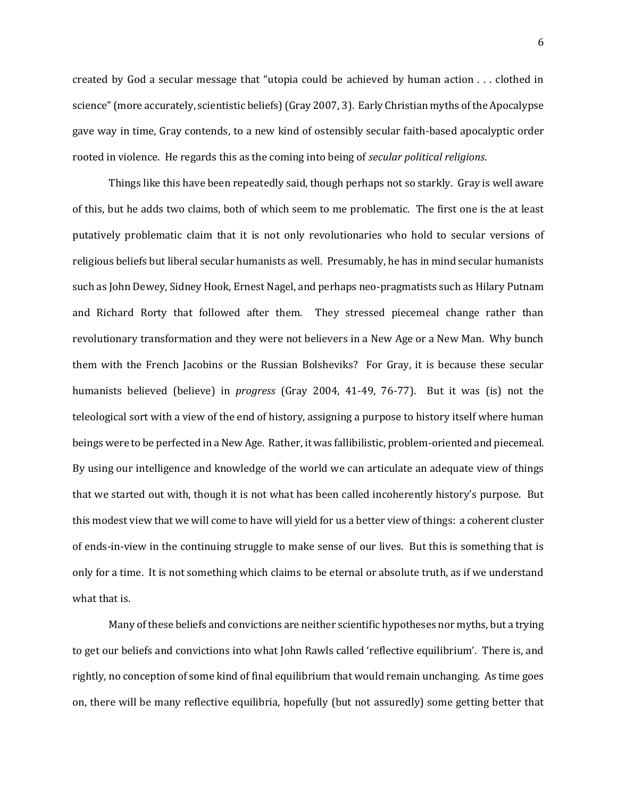created by God a secular message that "utopia could be achieved by human action . . . clothed in science" (more accurately, scientistic beliefs) (Gray 2007, 3). Early Christian myths of the Apocalypse gave way in time, Gray contends, to a new kind of ostensibly secular faith-based apocalyptic order rooted in violence. He regards this as the coming into being of *secular political religions*.

Things like this have been repeatedly said, though perhaps not so starkly. Gray is well aware of this, but he adds two claims, both of which seem to me problematic. The first one is the at least putatively problematic claim that it is not only revolutionaries who hold to secular versions of religious beliefs but liberal secular humanists as well. Presumably, he has in mind secular humanists such as John Dewey, Sidney Hook, Ernest Nagel, and perhaps neo-pragmatists such as Hilary Putnam and Richard Rorty that followed after them. They stressed piecemeal change rather than revolutionary transformation and they were not believers in a New Age or a New Man. Why bunch them with the French Jacobins or the Russian Bolsheviks? For Gray, it is because these secular humanists believed (believe) in *progress* (Gray 2004, 41-49, 76-77). But it was (is) not the teleological sort with a view of the end of history, assigning a purpose to history itself where human beings were to be perfected in a New Age. Rather, it was fallibilistic, problem-oriented and piecemeal. By using our intelligence and knowledge of the world we can articulate an adequate view of things that we started out with, though it is not what has been called incoherently history's purpose. But this modest view that we will come to have will yield for us a better view of things: a coherent cluster of ends-in-view in the continuing struggle to make sense of our lives. But this is something that is only for a time. It is not something which claims to be eternal or absolute truth, as if we understand what that is.

Many of these beliefs and convictions are neither scientific hypotheses nor myths, but a trying to get our beliefs and convictions into what John Rawls called 'reflective equilibrium'. There is, and rightly, no conception of some kind of final equilibrium that would remain unchanging. As time goes on, there will be many reflective equilibria, hopefully (but not assuredly) some getting better that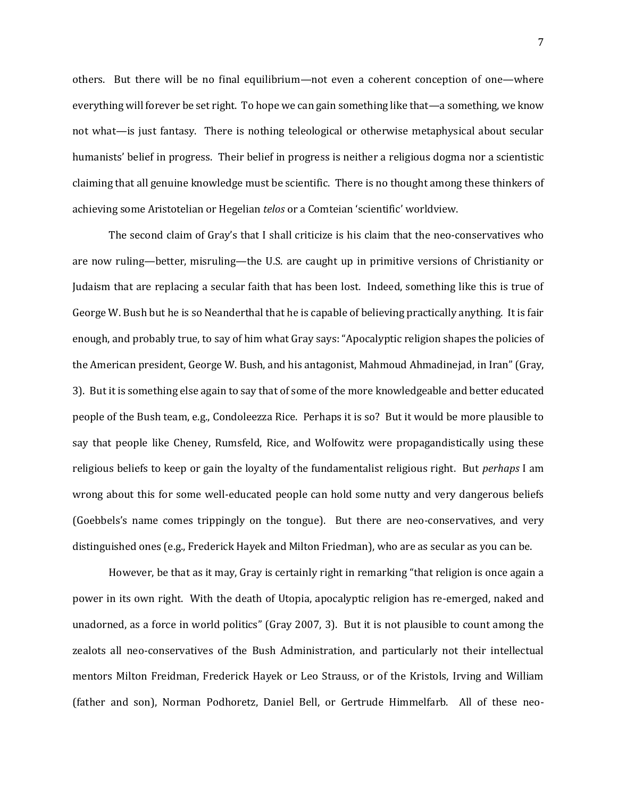others. But there will be no final equilibrium—not even a coherent conception of one—where everything will forever be set right. To hope we can gain something like that—a something, we know not what—is just fantasy. There is nothing teleological or otherwise metaphysical about secular humanists' belief in progress. Their belief in progress is neither a religious dogma nor a scientistic claiming that all genuine knowledge must be scientific. There is no thought among these thinkers of achieving some Aristotelian or Hegelian *telos* or a Comteian 'scientific' worldview.

The second claim of Gray's that I shall criticize is his claim that the neo-conservatives who are now ruling—better, misruling—the U.S. are caught up in primitive versions of Christianity or Judaism that are replacing a secular faith that has been lost. Indeed, something like this is true of George W. Bush but he is so Neanderthal that he is capable of believing practically anything. It is fair enough, and probably true, to say of him what Gray says: "Apocalyptic religion shapes the policies of the American president, George W. Bush, and his antagonist, Mahmoud Ahmadinejad, in Iran" (Gray, 3). But it is something else again to say that of some of the more knowledgeable and better educated people of the Bush team, e.g., Condoleezza Rice. Perhaps it is so? But it would be more plausible to say that people like Cheney, Rumsfeld, Rice, and Wolfowitz were propagandistically using these religious beliefs to keep or gain the loyalty of the fundamentalist religious right. But *perhaps* I am wrong about this for some well-educated people can hold some nutty and very dangerous beliefs (Goebbels's name comes trippingly on the tongue). But there are neo-conservatives, and very distinguished ones (e.g., Frederick Hayek and Milton Friedman), who are as secular as you can be.

However, be that as it may, Gray is certainly right in remarking "that religion is once again a power in its own right. With the death of Utopia, apocalyptic religion has re-emerged, naked and unadorned, as a force in world politics" (Gray 2007, 3). But it is not plausible to count among the zealots all neo-conservatives of the Bush Administration, and particularly not their intellectual mentors Milton Freidman, Frederick Hayek or Leo Strauss, or of the Kristols, Irving and William (father and son), Norman Podhoretz, Daniel Bell, or Gertrude Himmelfarb. All of these neo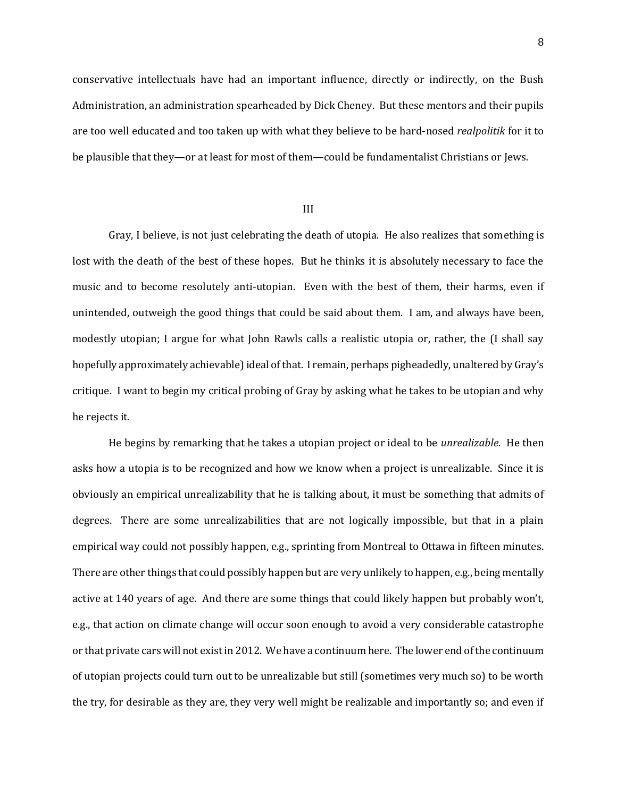conservative intellectuals have had an important influence, directly or indirectly, on the Bush Administration, an administration spearheaded by Dick Cheney. But these mentors and their pupils are too well educated and too taken up with what they believe to be hard-nosed *realpolitik* for it to be plausible that they—or at least for most of them—could be fundamentalist Christians or Jews.

#### III

Gray, I believe, is not just celebrating the death of utopia. He also realizes that something is lost with the death of the best of these hopes. But he thinks it is absolutely necessary to face the music and to become resolutely anti-utopian. Even with the best of them, their harms, even if unintended, outweigh the good things that could be said about them. I am, and always have been, modestly utopian; I argue for what John Rawls calls a realistic utopia or, rather, the (I shall say hopefully approximately achievable) ideal of that. I remain, perhaps pigheadedly, unaltered by Gray's critique. I want to begin my critical probing of Gray by asking what he takes to be utopian and why he rejects it.

He begins by remarking that he takes a utopian project or ideal to be *unrealizable.* He then asks how a utopia is to be recognized and how we know when a project is unrealizable. Since it is obviously an empirical unrealizability that he is talking about, it must be something that admits of degrees. There are some unrealizabilities that are not logically impossible, but that in a plain empirical way could not possibly happen, e.g., sprinting from Montreal to Ottawa in fifteen minutes. There are other things that could possibly happen but are very unlikely to happen, e.g., being mentally active at 140 years of age. And there are some things that could likely happen but probably won't, e.g., that action on climate change will occur soon enough to avoid a very considerable catastrophe or that private cars will not exist in 2012. We have a continuum here. The lower end of the continuum of utopian projects could turn out to be unrealizable but still (sometimes very much so) to be worth the try, for desirable as they are, they very well might be realizable and importantly so; and even if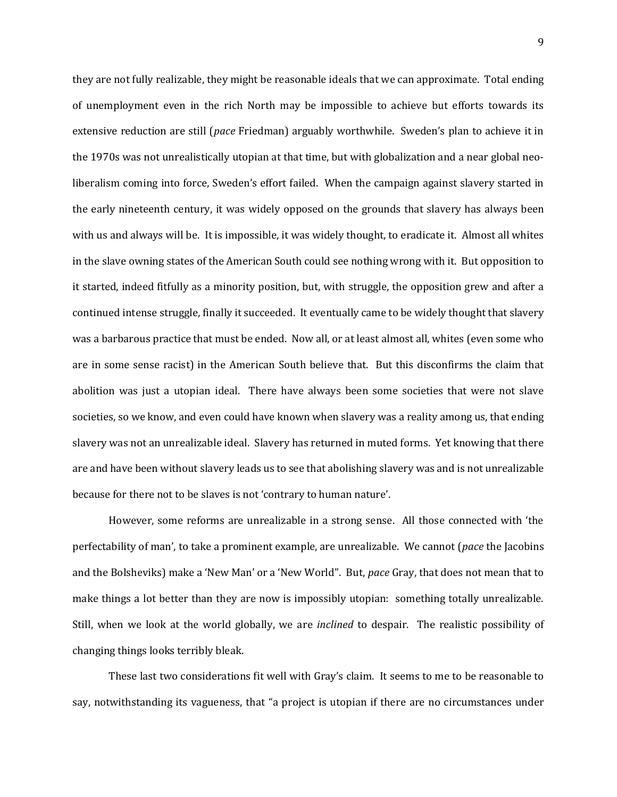they are not fully realizable, they might be reasonable ideals that we can approximate. Total ending of unemployment even in the rich North may be impossible to achieve but efforts towards its extensive reduction are still (*pace* Friedman) arguably worthwhile. Sweden's plan to achieve it in the 1970s was not unrealistically utopian at that time, but with globalization and a near global neoliberalism coming into force, Sweden's effort failed. When the campaign against slavery started in the early nineteenth century, it was widely opposed on the grounds that slavery has always been with us and always will be. It is impossible, it was widely thought, to eradicate it. Almost all whites in the slave owning states of the American South could see nothing wrong with it. But opposition to it started, indeed fitfully as a minority position, but, with struggle, the opposition grew and after a continued intense struggle, finally it succeeded. It eventually came to be widely thought that slavery was a barbarous practice that must be ended. Now all, or at least almost all, whites (even some who are in some sense racist) in the American South believe that. But this disconfirms the claim that abolition was just a utopian ideal. There have always been some societies that were not slave societies, so we know, and even could have known when slavery was a reality among us, that ending slavery was not an unrealizable ideal. Slavery has returned in muted forms. Yet knowing that there are and have been without slavery leads us to see that abolishing slavery was and is not unrealizable because for there not to be slaves is not 'contrary to human nature'.

However, some reforms are unrealizable in a strong sense. All those connected with 'the perfectability of man', to take a prominent example, are unrealizable. We cannot (*pace* the Jacobins and the Bolsheviks) make a 'New Man' or a 'New World". But, *pace* Gray, that does not mean that to make things a lot better than they are now is impossibly utopian: something totally unrealizable. Still, when we look at the world globally, we are *inclined* to despair. The realistic possibility of changing things looks terribly bleak.

These last two considerations fit well with Gray's claim. It seems to me to be reasonable to say, notwithstanding its vagueness, that "a project is utopian if there are no circumstances under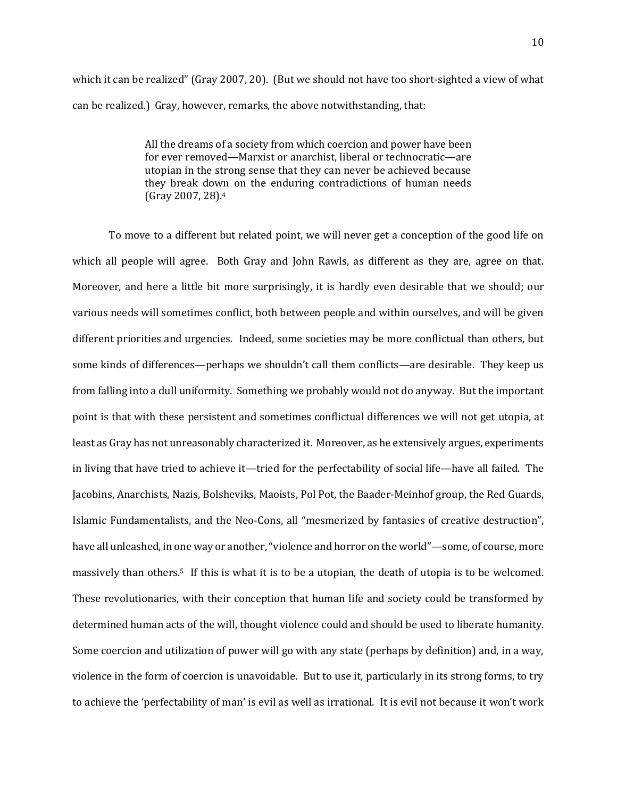which it can be realized" (Gray 2007, 20). (But we should not have too short-sighted a view of what can be realized.) Gray, however, remarks, the above notwithstanding, that:

> All the dreams of a society from which coercion and power have been for ever removed—Marxist or anarchist, liberal or technocratic—are utopian in the strong sense that they can never be achieved because they break down on the enduring contradictions of human needs (Gray 2007, 28).<sup>4</sup>

To move to a different but related point, we will never get a conception of the good life on which all people will agree. Both Gray and John Rawls, as different as they are, agree on that. Moreover, and here a little bit more surprisingly, it is hardly even desirable that we should; our various needs will sometimes conflict, both between people and within ourselves, and will be given different priorities and urgencies. Indeed, some societies may be more conflictual than others, but some kinds of differences—perhaps we shouldn't call them conflicts—are desirable. They keep us from falling into a dull uniformity. Something we probably would not do anyway. But the important point is that with these persistent and sometimes conflictual differences we will not get utopia, at least as Gray has not unreasonably characterized it. Moreover, as he extensively argues, experiments in living that have tried to achieve it—tried for the perfectability of social life—have all failed. The Jacobins, Anarchists, Nazis, Bolsheviks, Maoists, Pol Pot, the Baader-Meinhof group, the Red Guards, Islamic Fundamentalists, and the Neo-Cons, all "mesmerized by fantasies of creative destruction", have all unleashed, in one way or another, "violence and horror on the world"—some, of course, more massively than others.5 If this is what it is to be a utopian, the death of utopia is to be welcomed. These revolutionaries, with their conception that human life and society could be transformed by determined human acts of the will, thought violence could and should be used to liberate humanity. Some coercion and utilization of power will go with any state (perhaps by definition) and, in a way, violence in the form of coercion is unavoidable. But to use it, particularly in its strong forms, to try to achieve the 'perfectability of man' is evil as well as irrational. It is evil not because it won't work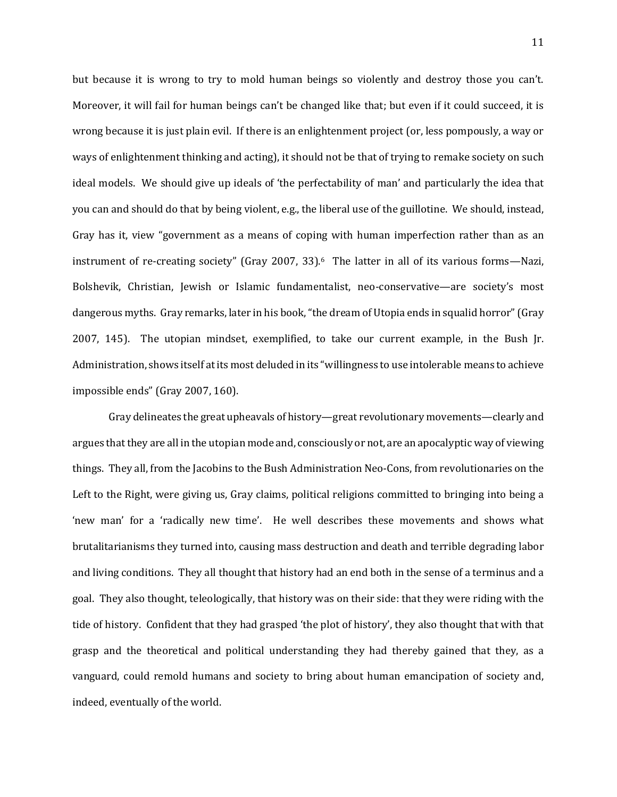but because it is wrong to try to mold human beings so violently and destroy those you can't. Moreover, it will fail for human beings can't be changed like that; but even if it could succeed, it is wrong because it is just plain evil. If there is an enlightenment project (or, less pompously, a way or ways of enlightenment thinking and acting), it should not be that of trying to remake society on such ideal models. We should give up ideals of 'the perfectability of man' and particularly the idea that you can and should do that by being violent, e.g., the liberal use of the guillotine. We should, instead, Gray has it, view "government as a means of coping with human imperfection rather than as an instrument of re-creating society" (Gray 2007, 33).<sup>6</sup> The latter in all of its various forms—Nazi, Bolshevik, Christian, Jewish or Islamic fundamentalist, neo-conservative—are society's most dangerous myths. Gray remarks, later in his book, "the dream of Utopia ends in squalid horror" (Gray 2007, 145). The utopian mindset, exemplified, to take our current example, in the Bush Jr. Administration, shows itself at its most deluded in its "willingness to use intolerable means to achieve impossible ends" (Gray 2007, 160).

Gray delineates the great upheavals of history—great revolutionary movements—clearly and argues that they are all in the utopian mode and, consciously or not, are an apocalyptic way of viewing things. They all, from the Jacobins to the Bush Administration Neo-Cons, from revolutionaries on the Left to the Right, were giving us, Gray claims, political religions committed to bringing into being a 'new man' for a 'radically new time'. He well describes these movements and shows what brutalitarianisms they turned into, causing mass destruction and death and terrible degrading labor and living conditions. They all thought that history had an end both in the sense of a terminus and a goal. They also thought, teleologically, that history was on their side: that they were riding with the tide of history. Confident that they had grasped 'the plot of history', they also thought that with that grasp and the theoretical and political understanding they had thereby gained that they, as a vanguard, could remold humans and society to bring about human emancipation of society and, indeed, eventually of the world.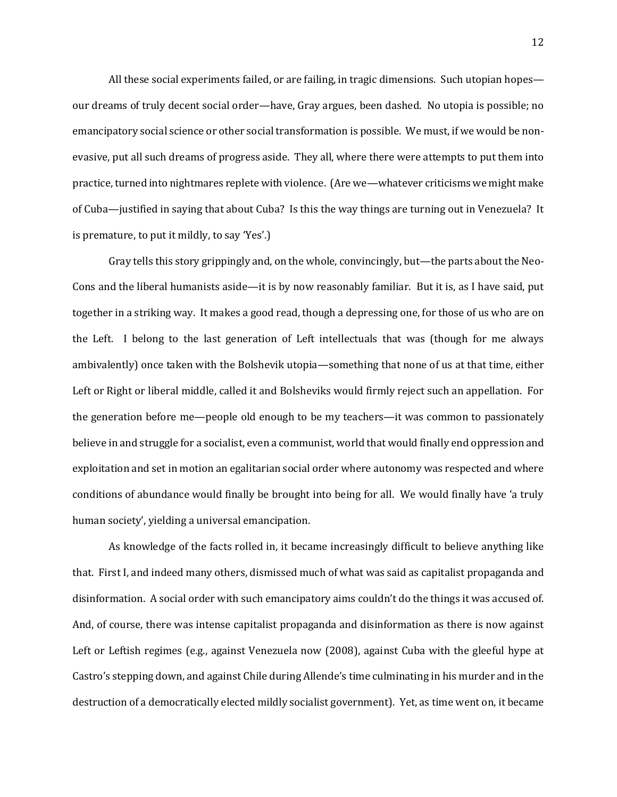All these social experiments failed, or are failing, in tragic dimensions. Such utopian hopes our dreams of truly decent social order—have, Gray argues, been dashed. No utopia is possible; no emancipatory social science or other social transformation is possible. We must, if we would be nonevasive, put all such dreams of progress aside. They all, where there were attempts to put them into practice, turned into nightmares replete with violence. (Are we—whatever criticisms we might make of Cuba—justified in saying that about Cuba? Is this the way things are turning out in Venezuela? It is premature, to put it mildly, to say 'Yes'.)

Gray tells this story grippingly and, on the whole, convincingly, but—the parts about the Neo-Cons and the liberal humanists aside—it is by now reasonably familiar. But it is, as I have said, put together in a striking way. It makes a good read, though a depressing one, for those of us who are on the Left. I belong to the last generation of Left intellectuals that was (though for me always ambivalently) once taken with the Bolshevik utopia—something that none of us at that time, either Left or Right or liberal middle, called it and Bolsheviks would firmly reject such an appellation. For the generation before me—people old enough to be my teachers—it was common to passionately believe in and struggle for a socialist, even a communist, world that would finally end oppression and exploitation and set in motion an egalitarian social order where autonomy was respected and where conditions of abundance would finally be brought into being for all. We would finally have 'a truly human society', yielding a universal emancipation.

As knowledge of the facts rolled in, it became increasingly difficult to believe anything like that. First I, and indeed many others, dismissed much of what was said as capitalist propaganda and disinformation. A social order with such emancipatory aims couldn't do the things it was accused of. And, of course, there was intense capitalist propaganda and disinformation as there is now against Left or Leftish regimes (e.g., against Venezuela now (2008), against Cuba with the gleeful hype at Castro's stepping down, and against Chile during Allende's time culminating in his murder and in the destruction of a democratically elected mildly socialist government). Yet, as time went on, it became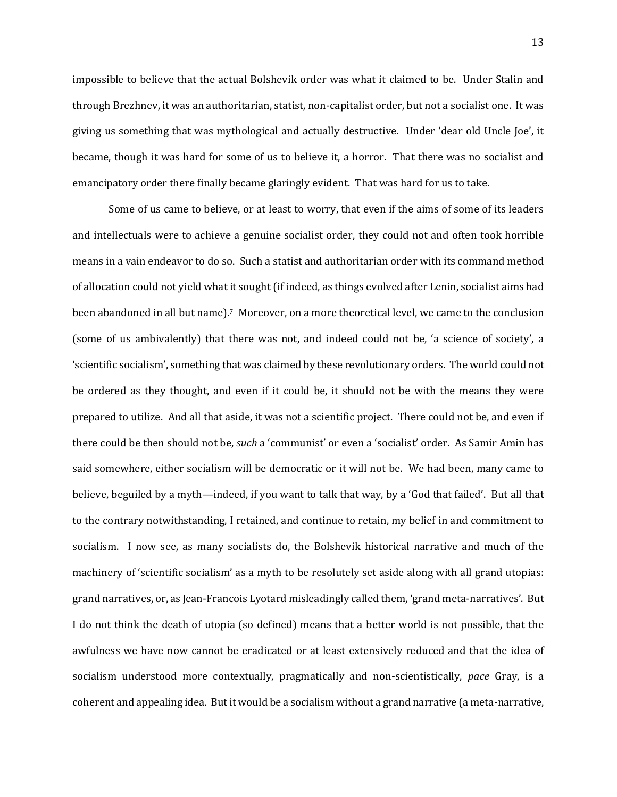impossible to believe that the actual Bolshevik order was what it claimed to be. Under Stalin and through Brezhnev, it was an authoritarian, statist, non-capitalist order, but not a socialist one. It was giving us something that was mythological and actually destructive. Under 'dear old Uncle Joe', it became, though it was hard for some of us to believe it, a horror. That there was no socialist and emancipatory order there finally became glaringly evident. That was hard for us to take.

Some of us came to believe, or at least to worry, that even if the aims of some of its leaders and intellectuals were to achieve a genuine socialist order, they could not and often took horrible means in a vain endeavor to do so. Such a statist and authoritarian order with its command method of allocation could not yield what it sought (if indeed, as things evolved after Lenin, socialist aims had been abandoned in all but name).7 Moreover, on a more theoretical level, we came to the conclusion (some of us ambivalently) that there was not, and indeed could not be, 'a science of society', a 'scientific socialism', something that was claimed by these revolutionary orders. The world could not be ordered as they thought, and even if it could be, it should not be with the means they were prepared to utilize. And all that aside, it was not a scientific project. There could not be, and even if there could be then should not be, *such* a 'communist' or even a 'socialist' order. As Samir Amin has said somewhere, either socialism will be democratic or it will not be. We had been, many came to believe, beguiled by a myth—indeed, if you want to talk that way, by a 'God that failed'. But all that to the contrary notwithstanding, I retained, and continue to retain, my belief in and commitment to socialism. I now see, as many socialists do, the Bolshevik historical narrative and much of the machinery of 'scientific socialism' as a myth to be resolutely set aside along with all grand utopias: grand narratives, or, as Jean-Francois Lyotard misleadingly called them, 'grand meta-narratives'. But I do not think the death of utopia (so defined) means that a better world is not possible, that the awfulness we have now cannot be eradicated or at least extensively reduced and that the idea of socialism understood more contextually, pragmatically and non-scientistically, *pace* Gray, is a coherent and appealing idea. But it would be a socialism without a grand narrative (a meta-narrative,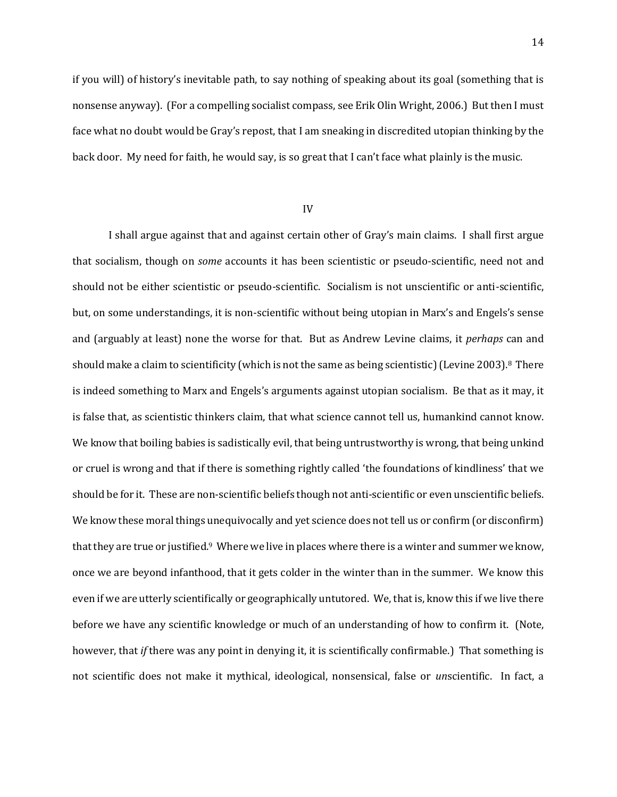if you will) of history's inevitable path, to say nothing of speaking about its goal (something that is nonsense anyway). (For a compelling socialist compass, see Erik Olin Wright, 2006.) But then I must face what no doubt would be Gray's repost, that I am sneaking in discredited utopian thinking by the back door. My need for faith, he would say, is so great that I can't face what plainly is the music.

IV

I shall argue against that and against certain other of Gray's main claims. I shall first argue that socialism, though on *some* accounts it has been scientistic or pseudo-scientific, need not and should not be either scientistic or pseudo-scientific. Socialism is not unscientific or anti-scientific, but, on some understandings, it is non-scientific without being utopian in Marx's and Engels's sense and (arguably at least) none the worse for that. But as Andrew Levine claims, it *perhaps* can and should make a claim to scientificity (which is not the same as being scientistic) (Levine 2003).8 There is indeed something to Marx and Engels's arguments against utopian socialism. Be that as it may, it is false that, as scientistic thinkers claim, that what science cannot tell us, humankind cannot know. We know that boiling babies is sadistically evil, that being untrustworthy is wrong, that being unkind or cruel is wrong and that if there is something rightly called 'the foundations of kindliness' that we should be for it. These are non-scientific beliefs though not anti-scientific or even unscientific beliefs. We know these moral things unequivocally and yet science does not tell us or confirm (or disconfirm) that they are true or justified.9 Where we live in places where there is a winter and summer we know, once we are beyond infanthood, that it gets colder in the winter than in the summer. We know this even if we are utterly scientifically or geographically untutored. We, that is, know this if we live there before we have any scientific knowledge or much of an understanding of how to confirm it. (Note, however, that *if* there was any point in denying it, it is scientifically confirmable.) That something is not scientific does not make it mythical, ideological, nonsensical, false or *un*scientific. In fact, a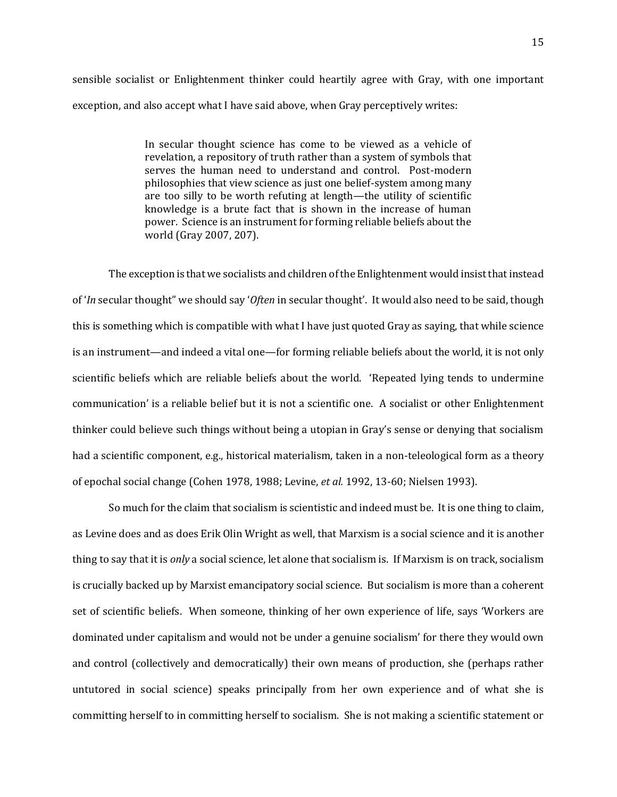sensible socialist or Enlightenment thinker could heartily agree with Gray, with one important exception, and also accept what I have said above, when Gray perceptively writes:

> In secular thought science has come to be viewed as a vehicle of revelation, a repository of truth rather than a system of symbols that serves the human need to understand and control. Post-modern philosophies that view science as just one belief-system among many are too silly to be worth refuting at length—the utility of scientific knowledge is a brute fact that is shown in the increase of human power. Science is an instrument for forming reliable beliefs about the world (Gray 2007, 207).

The exception is that we socialists and children of the Enlightenment would insist that instead of '*In* secular thought" we should say '*Often* in secular thought'. It would also need to be said, though this is something which is compatible with what I have just quoted Gray as saying, that while science is an instrument—and indeed a vital one—for forming reliable beliefs about the world, it is not only scientific beliefs which are reliable beliefs about the world. 'Repeated lying tends to undermine communication' is a reliable belief but it is not a scientific one. A socialist or other Enlightenment thinker could believe such things without being a utopian in Gray's sense or denying that socialism had a scientific component, e.g., historical materialism, taken in a non-teleological form as a theory of epochal social change (Cohen 1978, 1988; Levine, *et al.* 1992, 13-60; Nielsen 1993).

So much for the claim that socialism is scientistic and indeed must be. It is one thing to claim, as Levine does and as does Erik Olin Wright as well, that Marxism is a social science and it is another thing to say that it is *only* a social science, let alone that socialism is. If Marxism is on track, socialism is crucially backed up by Marxist emancipatory social science. But socialism is more than a coherent set of scientific beliefs. When someone, thinking of her own experience of life, says 'Workers are dominated under capitalism and would not be under a genuine socialism' for there they would own and control (collectively and democratically) their own means of production, she (perhaps rather untutored in social science) speaks principally from her own experience and of what she is committing herself to in committing herself to socialism. She is not making a scientific statement or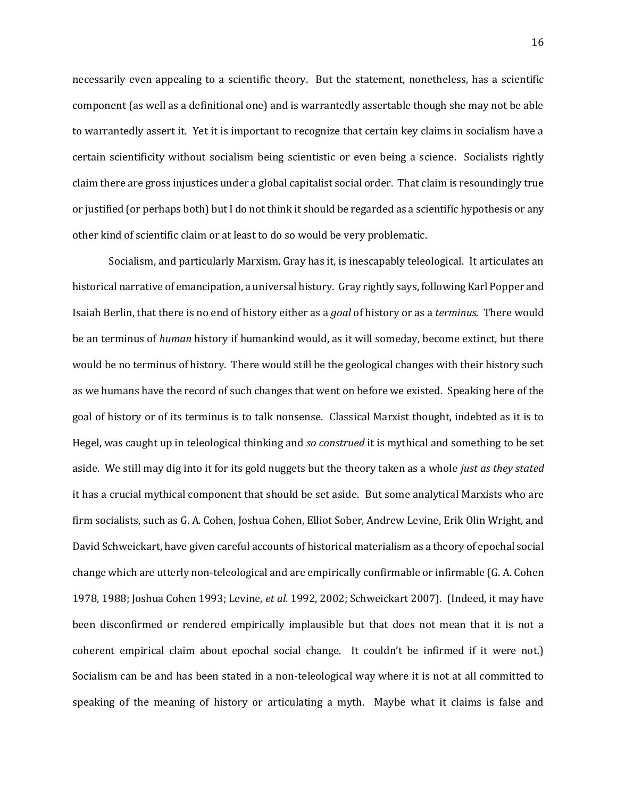necessarily even appealing to a scientific theory. But the statement, nonetheless, has a scientific component (as well as a definitional one) and is warrantedly assertable though she may not be able to warrantedly assert it. Yet it is important to recognize that certain key claims in socialism have a certain scientificity without socialism being scientistic or even being a science. Socialists rightly claim there are gross injustices under a global capitalist social order. That claim is resoundingly true or justified (or perhaps both) but I do not think it should be regarded as a scientific hypothesis or any other kind of scientific claim or at least to do so would be very problematic.

Socialism, and particularly Marxism, Gray has it, is inescapably teleological. It articulates an historical narrative of emancipation, a universal history. Gray rightly says, following Karl Popper and Isaiah Berlin, that there is no end of history either as a *goal* of history or as a *terminus.* There would be an terminus of *human* history if humankind would, as it will someday, become extinct, but there would be no terminus of history. There would still be the geological changes with their history such as we humans have the record of such changes that went on before we existed. Speaking here of the goal of history or of its terminus is to talk nonsense. Classical Marxist thought, indebted as it is to Hegel, was caught up in teleological thinking and *so construed* it is mythical and something to be set aside. We still may dig into it for its gold nuggets but the theory taken as a whole *just as they stated*  it has a crucial mythical component that should be set aside. But some analytical Marxists who are firm socialists, such as G. A. Cohen, Joshua Cohen, Elliot Sober, Andrew Levine, Erik Olin Wright, and David Schweickart, have given careful accounts of historical materialism as a theory of epochal social change which are utterly non-teleological and are empirically confirmable or infirmable (G. A. Cohen 1978, 1988; Joshua Cohen 1993; Levine, *et al.* 1992, 2002; Schweickart 2007). (Indeed, it may have been disconfirmed or rendered empirically implausible but that does not mean that it is not a coherent empirical claim about epochal social change. It couldn't be infirmed if it were not.) Socialism can be and has been stated in a non-teleological way where it is not at all committed to speaking of the meaning of history or articulating a myth. Maybe what it claims is false and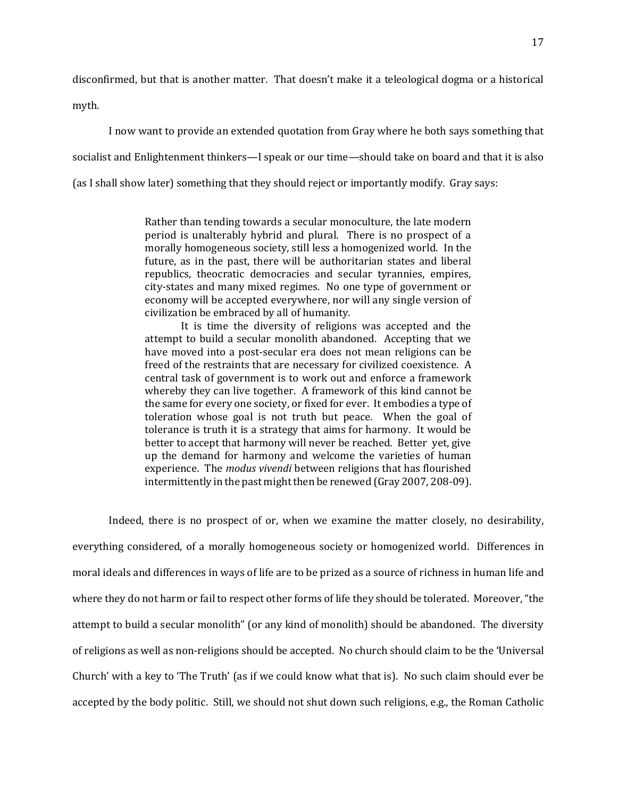disconfirmed, but that is another matter. That doesn't make it a teleological dogma or a historical myth.

I now want to provide an extended quotation from Gray where he both says something that socialist and Enlightenment thinkers—I speak or our time—should take on board and that it is also (as I shall show later) something that they should reject or importantly modify. Gray says:

> Rather than tending towards a secular monoculture, the late modern period is unalterably hybrid and plural. There is no prospect of a morally homogeneous society, still less a homogenized world. In the future, as in the past, there will be authoritarian states and liberal republics, theocratic democracies and secular tyrannies, empires, city-states and many mixed regimes. No one type of government or economy will be accepted everywhere, nor will any single version of civilization be embraced by all of humanity.

> It is time the diversity of religions was accepted and the attempt to build a secular monolith abandoned. Accepting that we have moved into a post-secular era does not mean religions can be freed of the restraints that are necessary for civilized coexistence. A central task of government is to work out and enforce a framework whereby they can live together. A framework of this kind cannot be the same for every one society, or fixed for ever. It embodies a type of toleration whose goal is not truth but peace. When the goal of tolerance is truth it is a strategy that aims for harmony. It would be better to accept that harmony will never be reached. Better yet, give up the demand for harmony and welcome the varieties of human experience. The *modus vivendi* between religions that has flourished intermittently in the past might then be renewed (Gray 2007, 208-09).

Indeed, there is no prospect of or, when we examine the matter closely, no desirability,

everything considered, of a morally homogeneous society or homogenized world. Differences in moral ideals and differences in ways of life are to be prized as a source of richness in human life and where they do not harm or fail to respect other forms of life they should be tolerated. Moreover, "the attempt to build a secular monolith" (or any kind of monolith) should be abandoned. The diversity of religions as well as non-religions should be accepted. No church should claim to be the 'Universal Church' with a key to 'The Truth' (as if we could know what that is). No such claim should ever be accepted by the body politic. Still, we should not shut down such religions, e.g., the Roman Catholic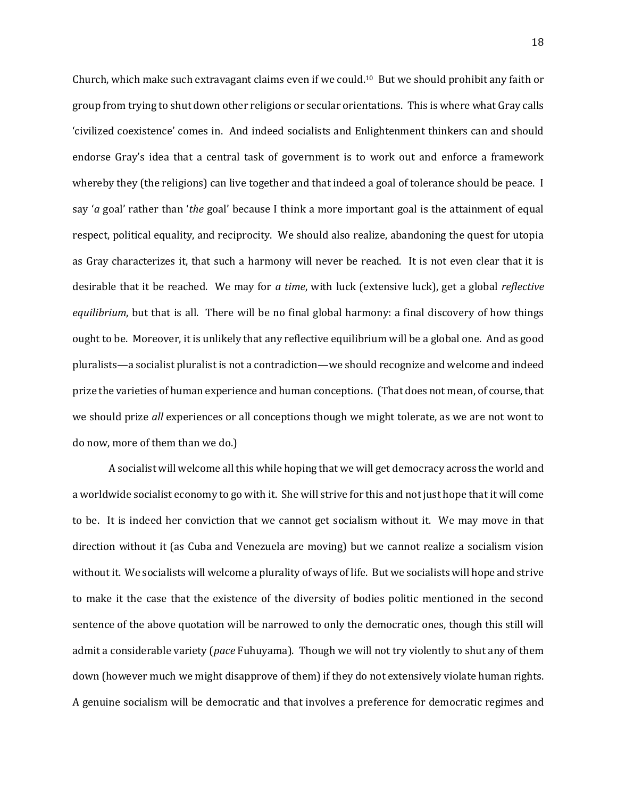Church, which make such extravagant claims even if we could.10 But we should prohibit any faith or group from trying to shut down other religions or secular orientations. This is where what Gray calls 'civilized coexistence' comes in. And indeed socialists and Enlightenment thinkers can and should endorse Gray's idea that a central task of government is to work out and enforce a framework whereby they (the religions) can live together and that indeed a goal of tolerance should be peace. I say '*a* goal' rather than '*the* goal' because I think a more important goal is the attainment of equal respect, political equality, and reciprocity. We should also realize, abandoning the quest for utopia as Gray characterizes it, that such a harmony will never be reached. It is not even clear that it is desirable that it be reached. We may for *a time*, with luck (extensive luck), get a global *reflective equilibrium*, but that is all. There will be no final global harmony: a final discovery of how things ought to be. Moreover, it is unlikely that any reflective equilibrium will be a global one. And as good pluralists—a socialist pluralist is not a contradiction—we should recognize and welcome and indeed prize the varieties of human experience and human conceptions. (That does not mean, of course, that we should prize *all* experiences or all conceptions though we might tolerate, as we are not wont to do now, more of them than we do.)

A socialist will welcome all this while hoping that we will get democracy across the world and a worldwide socialist economy to go with it. She will strive for this and not just hope that it will come to be. It is indeed her conviction that we cannot get socialism without it. We may move in that direction without it (as Cuba and Venezuela are moving) but we cannot realize a socialism vision without it. We socialists will welcome a plurality of ways of life. But we socialists will hope and strive to make it the case that the existence of the diversity of bodies politic mentioned in the second sentence of the above quotation will be narrowed to only the democratic ones, though this still will admit a considerable variety (*pace* Fuhuyama). Though we will not try violently to shut any of them down (however much we might disapprove of them) if they do not extensively violate human rights. A genuine socialism will be democratic and that involves a preference for democratic regimes and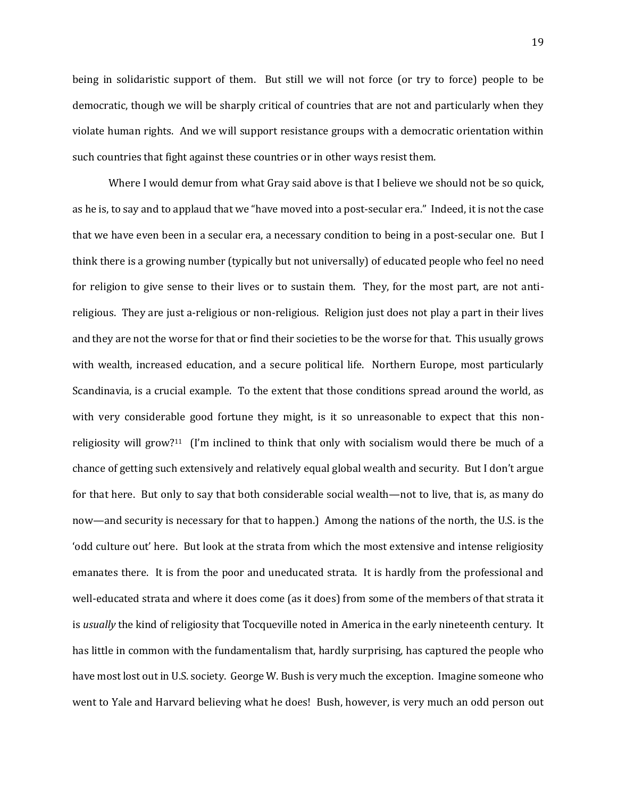being in solidaristic support of them. But still we will not force (or try to force) people to be democratic, though we will be sharply critical of countries that are not and particularly when they violate human rights. And we will support resistance groups with a democratic orientation within such countries that fight against these countries or in other ways resist them.

Where I would demur from what Gray said above is that I believe we should not be so quick, as he is, to say and to applaud that we "have moved into a post-secular era." Indeed, it is not the case that we have even been in a secular era, a necessary condition to being in a post-secular one. But I think there is a growing number (typically but not universally) of educated people who feel no need for religion to give sense to their lives or to sustain them. They, for the most part, are not antireligious. They are just a-religious or non-religious. Religion just does not play a part in their lives and they are not the worse for that or find their societies to be the worse for that. This usually grows with wealth, increased education, and a secure political life. Northern Europe, most particularly Scandinavia, is a crucial example. To the extent that those conditions spread around the world, as with very considerable good fortune they might, is it so unreasonable to expect that this nonreligiosity will grow?<sup>11</sup> (I'm inclined to think that only with socialism would there be much of a chance of getting such extensively and relatively equal global wealth and security. But I don't argue for that here. But only to say that both considerable social wealth—not to live, that is, as many do now—and security is necessary for that to happen.) Among the nations of the north, the U.S. is the 'odd culture out' here. But look at the strata from which the most extensive and intense religiosity emanates there. It is from the poor and uneducated strata. It is hardly from the professional and well-educated strata and where it does come (as it does) from some of the members of that strata it is *usually* the kind of religiosity that Tocqueville noted in America in the early nineteenth century. It has little in common with the fundamentalism that, hardly surprising, has captured the people who have most lost out in U.S. society. George W. Bush is very much the exception. Imagine someone who went to Yale and Harvard believing what he does! Bush, however, is very much an odd person out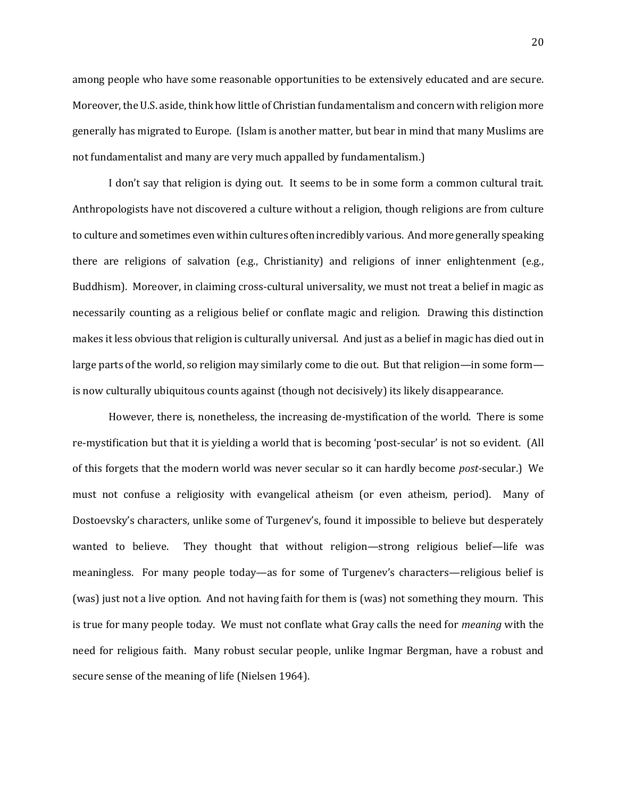among people who have some reasonable opportunities to be extensively educated and are secure. Moreover, the U.S. aside, think how little of Christian fundamentalism and concern with religion more generally has migrated to Europe. (Islam is another matter, but bear in mind that many Muslims are not fundamentalist and many are very much appalled by fundamentalism.)

I don't say that religion is dying out. It seems to be in some form a common cultural trait. Anthropologists have not discovered a culture without a religion, though religions are from culture to culture and sometimes even within cultures often incredibly various. And more generally speaking there are religions of salvation (e.g., Christianity) and religions of inner enlightenment (e.g., Buddhism). Moreover, in claiming cross-cultural universality, we must not treat a belief in magic as necessarily counting as a religious belief or conflate magic and religion. Drawing this distinction makes it less obvious that religion is culturally universal. And just as a belief in magic has died out in large parts of the world, so religion may similarly come to die out. But that religion—in some form is now culturally ubiquitous counts against (though not decisively) its likely disappearance.

However, there is, nonetheless, the increasing de-mystification of the world. There is some re-mystification but that it is yielding a world that is becoming 'post-secular' is not so evident. (All of this forgets that the modern world was never secular so it can hardly become *post-*secular.) We must not confuse a religiosity with evangelical atheism (or even atheism, period). Many of Dostoevsky's characters, unlike some of Turgenev's, found it impossible to believe but desperately wanted to believe. They thought that without religion—strong religious belief—life was meaningless. For many people today—as for some of Turgenev's characters—religious belief is (was) just not a live option. And not having faith for them is (was) not something they mourn. This is true for many people today. We must not conflate what Gray calls the need for *meaning* with the need for religious faith. Many robust secular people, unlike Ingmar Bergman, have a robust and secure sense of the meaning of life (Nielsen 1964).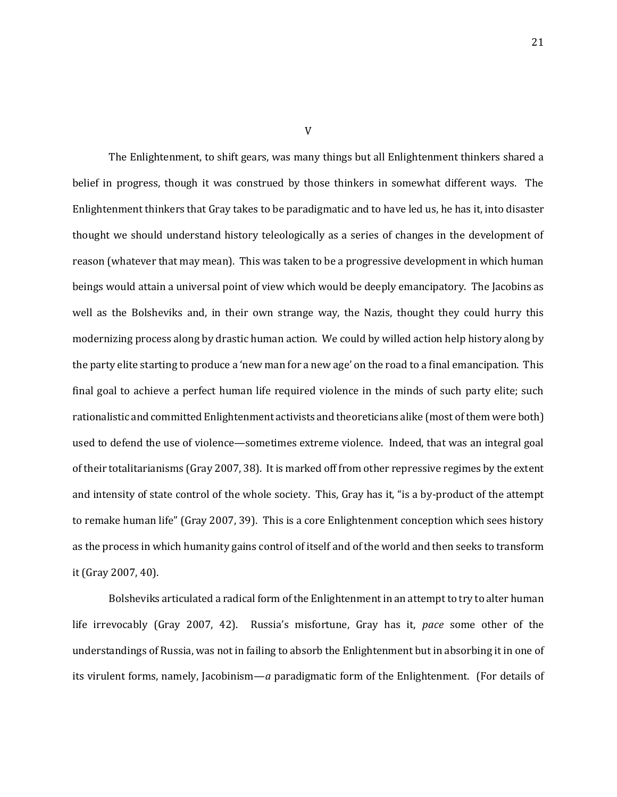The Enlightenment, to shift gears, was many things but all Enlightenment thinkers shared a belief in progress, though it was construed by those thinkers in somewhat different ways. The Enlightenment thinkers that Gray takes to be paradigmatic and to have led us, he has it, into disaster thought we should understand history teleologically as a series of changes in the development of reason (whatever that may mean). This was taken to be a progressive development in which human beings would attain a universal point of view which would be deeply emancipatory. The Jacobins as well as the Bolsheviks and, in their own strange way, the Nazis, thought they could hurry this modernizing process along by drastic human action. We could by willed action help history along by the party elite starting to produce a 'new man for a new age' on the road to a final emancipation. This final goal to achieve a perfect human life required violence in the minds of such party elite; such rationalistic and committed Enlightenment activists and theoreticians alike (most of them were both) used to defend the use of violence—sometimes extreme violence. Indeed, that was an integral goal of their totalitarianisms (Gray 2007, 38). It is marked off from other repressive regimes by the extent and intensity of state control of the whole society. This, Gray has it, "is a by-product of the attempt to remake human life" (Gray 2007, 39). This is a core Enlightenment conception which sees history as the process in which humanity gains control of itself and of the world and then seeks to transform it (Gray 2007, 40).

Bolsheviks articulated a radical form of the Enlightenment in an attempt to try to alter human life irrevocably (Gray 2007, 42). Russia's misfortune, Gray has it, *pace* some other of the understandings of Russia, was not in failing to absorb the Enlightenment but in absorbing it in one of its virulent forms, namely, Jacobinism—*a* paradigmatic form of the Enlightenment. (For details of

V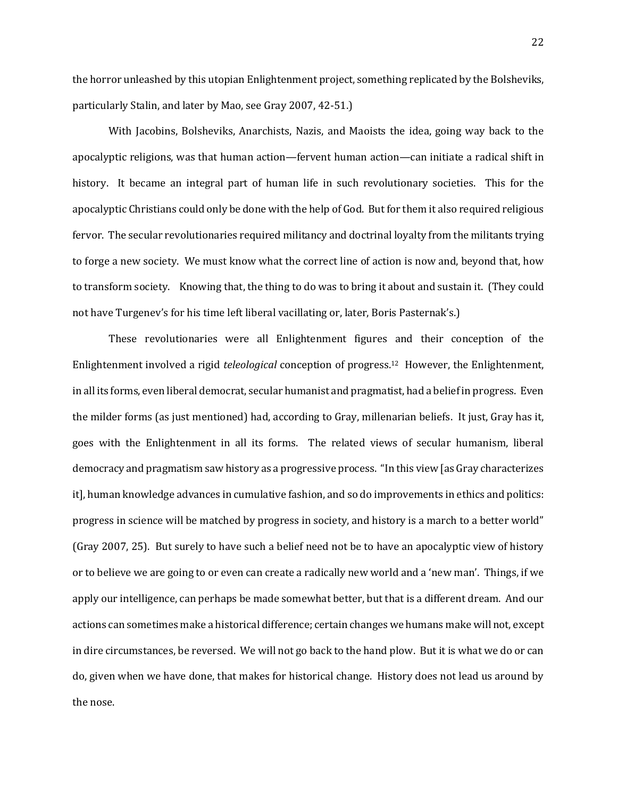the horror unleashed by this utopian Enlightenment project, something replicated by the Bolsheviks, particularly Stalin, and later by Mao, see Gray 2007, 42-51.)

With Jacobins, Bolsheviks, Anarchists, Nazis, and Maoists the idea, going way back to the apocalyptic religions, was that human action—fervent human action—can initiate a radical shift in history. It became an integral part of human life in such revolutionary societies. This for the apocalyptic Christians could only be done with the help of God. But for them it also required religious fervor. The secular revolutionaries required militancy and doctrinal loyalty from the militants trying to forge a new society. We must know what the correct line of action is now and, beyond that, how to transform society. Knowing that, the thing to do was to bring it about and sustain it. (They could not have Turgenev's for his time left liberal vacillating or, later, Boris Pasternak's.)

These revolutionaries were all Enlightenment figures and their conception of the Enlightenment involved a rigid *teleological* conception of progress.12 However, the Enlightenment, in all its forms, even liberal democrat, secular humanist and pragmatist, had a belief in progress. Even the milder forms (as just mentioned) had, according to Gray, millenarian beliefs. It just, Gray has it, goes with the Enlightenment in all its forms. The related views of secular humanism, liberal democracy and pragmatism saw history as a progressive process. "In this view [as Gray characterizes it], human knowledge advances in cumulative fashion, and so do improvements in ethics and politics: progress in science will be matched by progress in society, and history is a march to a better world" (Gray 2007, 25). But surely to have such a belief need not be to have an apocalyptic view of history or to believe we are going to or even can create a radically new world and a 'new man'. Things, if we apply our intelligence, can perhaps be made somewhat better, but that is a different dream. And our actions can sometimes make a historical difference; certain changes we humans make will not, except in dire circumstances, be reversed. We will not go back to the hand plow. But it is what we do or can do, given when we have done, that makes for historical change. History does not lead us around by the nose.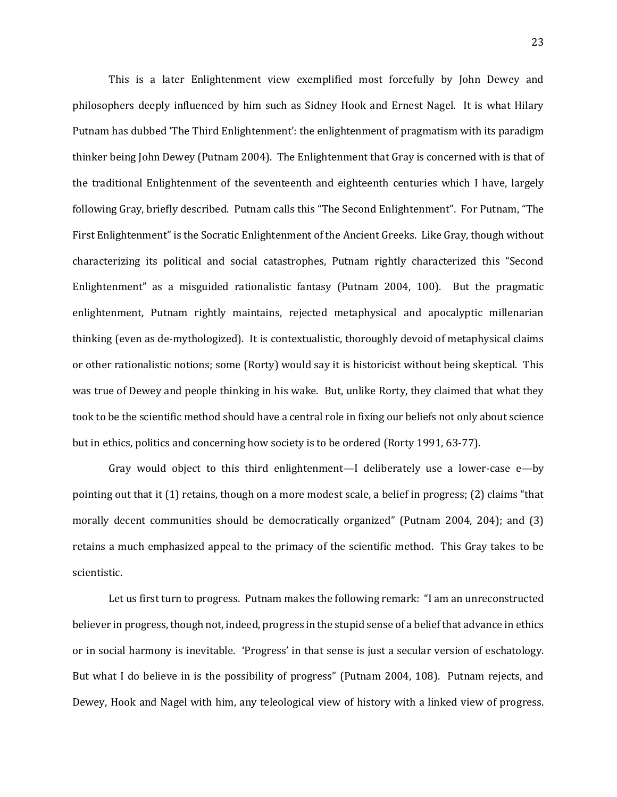This is a later Enlightenment view exemplified most forcefully by John Dewey and philosophers deeply influenced by him such as Sidney Hook and Ernest Nagel. It is what Hilary Putnam has dubbed 'The Third Enlightenment': the enlightenment of pragmatism with its paradigm thinker being John Dewey (Putnam 2004). The Enlightenment that Gray is concerned with is that of the traditional Enlightenment of the seventeenth and eighteenth centuries which I have, largely following Gray, briefly described. Putnam calls this "The Second Enlightenment". For Putnam, "The First Enlightenment" is the Socratic Enlightenment of the Ancient Greeks. Like Gray, though without characterizing its political and social catastrophes, Putnam rightly characterized this "Second Enlightenment" as a misguided rationalistic fantasy (Putnam 2004, 100). But the pragmatic enlightenment, Putnam rightly maintains, rejected metaphysical and apocalyptic millenarian thinking (even as de-mythologized). It is contextualistic, thoroughly devoid of metaphysical claims or other rationalistic notions; some (Rorty) would say it is historicist without being skeptical. This was true of Dewey and people thinking in his wake. But, unlike Rorty, they claimed that what they took to be the scientific method should have a central role in fixing our beliefs not only about science but in ethics, politics and concerning how society is to be ordered (Rorty 1991, 63-77).

Gray would object to this third enlightenment—I deliberately use a lower-case  $e$ —by pointing out that it (1) retains, though on a more modest scale, a belief in progress; (2) claims "that morally decent communities should be democratically organized" (Putnam 2004, 204); and (3) retains a much emphasized appeal to the primacy of the scientific method. This Gray takes to be scientistic.

Let us first turn to progress. Putnam makes the following remark: "I am an unreconstructed believer in progress, though not, indeed, progress in the stupid sense of a belief that advance in ethics or in social harmony is inevitable. 'Progress' in that sense is just a secular version of eschatology. But what I do believe in is the possibility of progress" (Putnam 2004, 108). Putnam rejects, and Dewey, Hook and Nagel with him, any teleological view of history with a linked view of progress.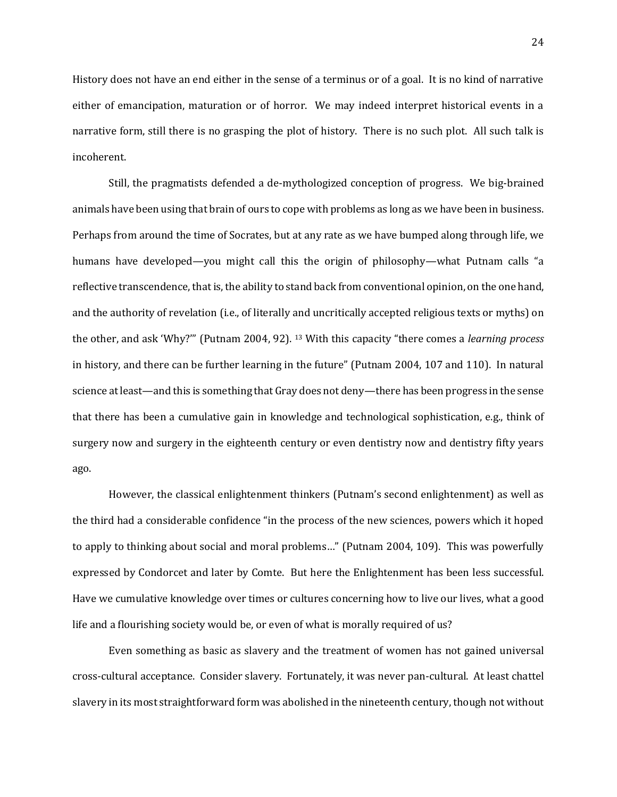History does not have an end either in the sense of a terminus or of a goal. It is no kind of narrative either of emancipation, maturation or of horror. We may indeed interpret historical events in a narrative form, still there is no grasping the plot of history. There is no such plot. All such talk is incoherent.

Still, the pragmatists defended a de-mythologized conception of progress. We big-brained animals have been using that brain of ours to cope with problems as long as we have been in business. Perhaps from around the time of Socrates, but at any rate as we have bumped along through life, we humans have developed—you might call this the origin of philosophy—what Putnam calls "a reflective transcendence, that is, the ability to stand back from conventional opinion, on the one hand, and the authority of revelation (i.e., of literally and uncritically accepted religious texts or myths) on the other, and ask 'Why?'" (Putnam 2004, 92). <sup>13</sup> With this capacity "there comes a *learning process*  in history, and there can be further learning in the future" (Putnam 2004, 107 and 110). In natural science at least—and this is something that Gray does not deny—there has been progress in the sense that there has been a cumulative gain in knowledge and technological sophistication, e.g., think of surgery now and surgery in the eighteenth century or even dentistry now and dentistry fifty years ago.

However, the classical enlightenment thinkers (Putnam's second enlightenment) as well as the third had a considerable confidence "in the process of the new sciences, powers which it hoped to apply to thinking about social and moral problems…" (Putnam 2004, 109). This was powerfully expressed by Condorcet and later by Comte. But here the Enlightenment has been less successful. Have we cumulative knowledge over times or cultures concerning how to live our lives, what a good life and a flourishing society would be, or even of what is morally required of us?

Even something as basic as slavery and the treatment of women has not gained universal cross-cultural acceptance. Consider slavery. Fortunately, it was never pan-cultural. At least chattel slavery in its most straightforward form was abolished in the nineteenth century, though not without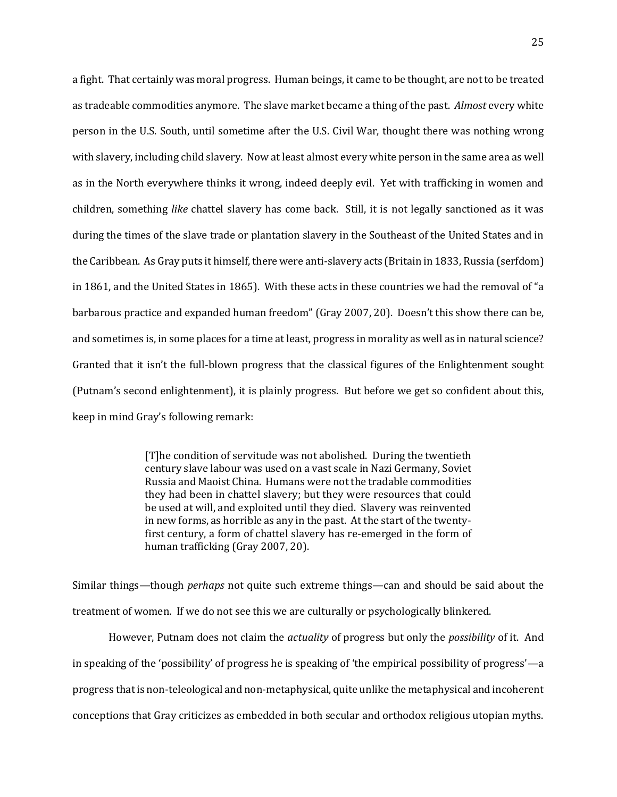a fight. That certainly was moral progress. Human beings, it came to be thought, are not to be treated as tradeable commodities anymore. The slave market became a thing of the past. *Almost* every white person in the U.S. South, until sometime after the U.S. Civil War, thought there was nothing wrong with slavery, including child slavery. Now at least almost every white person in the same area as well as in the North everywhere thinks it wrong, indeed deeply evil. Yet with trafficking in women and children, something *like* chattel slavery has come back. Still, it is not legally sanctioned as it was during the times of the slave trade or plantation slavery in the Southeast of the United States and in the Caribbean. As Gray puts it himself, there were anti-slavery acts (Britain in 1833, Russia (serfdom) in 1861, and the United States in 1865). With these acts in these countries we had the removal of "a barbarous practice and expanded human freedom" (Gray 2007, 20). Doesn't this show there can be, and sometimes is, in some places for a time at least, progress in morality as well as in natural science? Granted that it isn't the full-blown progress that the classical figures of the Enlightenment sought (Putnam's second enlightenment), it is plainly progress. But before we get so confident about this, keep in mind Gray's following remark:

> [T]he condition of servitude was not abolished. During the twentieth century slave labour was used on a vast scale in Nazi Germany, Soviet Russia and Maoist China. Humans were not the tradable commodities they had been in chattel slavery; but they were resources that could be used at will, and exploited until they died. Slavery was reinvented in new forms, as horrible as any in the past. At the start of the twentyfirst century, a form of chattel slavery has re-emerged in the form of human trafficking (Gray 2007, 20).

Similar things—though *perhaps* not quite such extreme things—can and should be said about the treatment of women. If we do not see this we are culturally or psychologically blinkered.

However, Putnam does not claim the *actuality* of progress but only the *possibility* of it. And in speaking of the 'possibility' of progress he is speaking of 'the empirical possibility of progress'—a progress that is non-teleological and non-metaphysical, quite unlike the metaphysical and incoherent conceptions that Gray criticizes as embedded in both secular and orthodox religious utopian myths.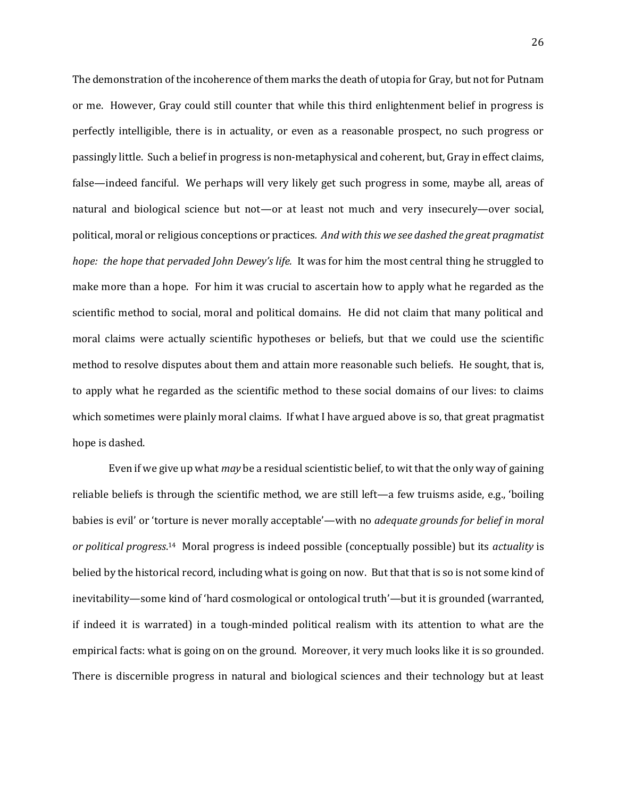The demonstration of the incoherence of them marks the death of utopia for Gray, but not for Putnam or me. However, Gray could still counter that while this third enlightenment belief in progress is perfectly intelligible, there is in actuality, or even as a reasonable prospect, no such progress or passingly little. Such a belief in progress is non-metaphysical and coherent, but, Gray in effect claims, false—indeed fanciful. We perhaps will very likely get such progress in some, maybe all, areas of natural and biological science but not—or at least not much and very insecurely—over social, political, moral or religious conceptions or practices*. And with this we see dashed the great pragmatist hope: the hope that pervaded John Dewey's life.* It was for him the most central thing he struggled to make more than a hope. For him it was crucial to ascertain how to apply what he regarded as the scientific method to social, moral and political domains. He did not claim that many political and moral claims were actually scientific hypotheses or beliefs, but that we could use the scientific method to resolve disputes about them and attain more reasonable such beliefs. He sought, that is, to apply what he regarded as the scientific method to these social domains of our lives: to claims which sometimes were plainly moral claims. If what I have argued above is so, that great pragmatist hope is dashed.

Even if we give up what *may* be a residual scientistic belief, to wit that the only way of gaining reliable beliefs is through the scientific method, we are still left—a few truisms aside, e.g., 'boiling babies is evil' or 'torture is never morally acceptable'—with no *adequate grounds for belief in moral or political progress*. <sup>14</sup> Moral progress is indeed possible (conceptually possible) but its *actuality* is belied by the historical record, including what is going on now. But that that is so is not some kind of inevitability—some kind of 'hard cosmological or ontological truth'—but it is grounded (warranted, if indeed it is warrated) in a tough-minded political realism with its attention to what are the empirical facts: what is going on on the ground. Moreover, it very much looks like it is so grounded. There is discernible progress in natural and biological sciences and their technology but at least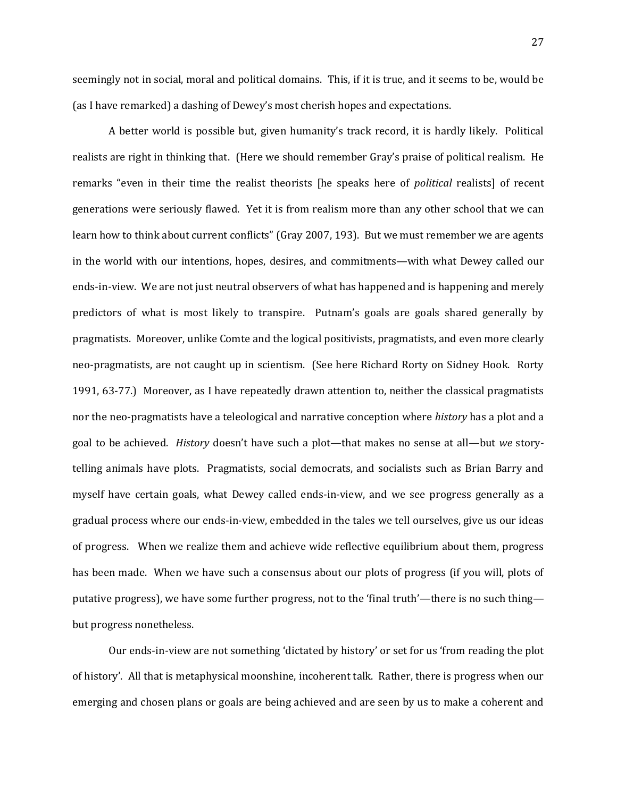seemingly not in social, moral and political domains. This, if it is true, and it seems to be, would be (as I have remarked) a dashing of Dewey's most cherish hopes and expectations.

A better world is possible but, given humanity's track record, it is hardly likely. Political realists are right in thinking that. (Here we should remember Gray's praise of political realism. He remarks "even in their time the realist theorists [he speaks here of *political* realists] of recent generations were seriously flawed. Yet it is from realism more than any other school that we can learn how to think about current conflicts" (Gray 2007, 193). But we must remember we are agents in the world with our intentions, hopes, desires, and commitments—with what Dewey called our ends-in-view. We are not just neutral observers of what has happened and is happening and merely predictors of what is most likely to transpire. Putnam's goals are goals shared generally by pragmatists. Moreover, unlike Comte and the logical positivists, pragmatists, and even more clearly neo-pragmatists, are not caught up in scientism. (See here Richard Rorty on Sidney Hook. Rorty 1991, 63-77.) Moreover, as I have repeatedly drawn attention to, neither the classical pragmatists nor the neo-pragmatists have a teleological and narrative conception where *history* has a plot and a goal to be achieved. *History* doesn't have such a plot—that makes no sense at all—but *we* storytelling animals have plots. Pragmatists, social democrats, and socialists such as Brian Barry and myself have certain goals, what Dewey called ends-in-view, and we see progress generally as a gradual process where our ends-in-view, embedded in the tales we tell ourselves, give us our ideas of progress. When we realize them and achieve wide reflective equilibrium about them, progress has been made. When we have such a consensus about our plots of progress (if you will, plots of putative progress), we have some further progress, not to the 'final truth'—there is no such thing but progress nonetheless.

Our ends-in-view are not something 'dictated by history' or set for us 'from reading the plot of history'. All that is metaphysical moonshine, incoherent talk. Rather, there is progress when our emerging and chosen plans or goals are being achieved and are seen by us to make a coherent and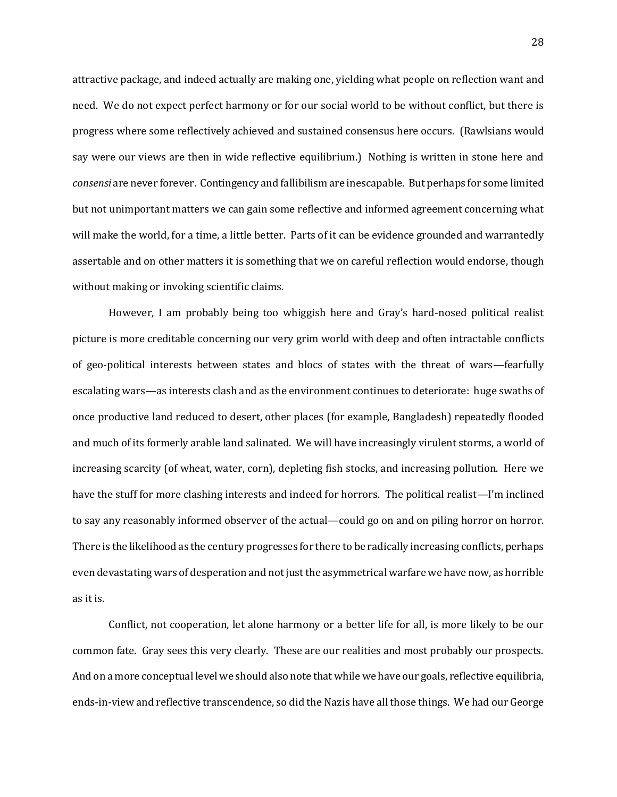attractive package, and indeed actually are making one, yielding what people on reflection want and need. We do not expect perfect harmony or for our social world to be without conflict, but there is progress where some reflectively achieved and sustained consensus here occurs. (Rawlsians would say were our views are then in wide reflective equilibrium.) Nothing is written in stone here and *consensi* are never forever. Contingency and fallibilism are inescapable. But perhaps for some limited but not unimportant matters we can gain some reflective and informed agreement concerning what will make the world, for a time, a little better. Parts of it can be evidence grounded and warrantedly assertable and on other matters it is something that we on careful reflection would endorse, though without making or invoking scientific claims.

However, I am probably being too whiggish here and Gray's hard-nosed political realist picture is more creditable concerning our very grim world with deep and often intractable conflicts of geo-political interests between states and blocs of states with the threat of wars—fearfully escalating wars—as interests clash and as the environment continues to deteriorate: huge swaths of once productive land reduced to desert, other places (for example, Bangladesh) repeatedly flooded and much of its formerly arable land salinated. We will have increasingly virulent storms, a world of increasing scarcity (of wheat, water, corn), depleting fish stocks, and increasing pollution. Here we have the stuff for more clashing interests and indeed for horrors. The political realist—I'm inclined to say any reasonably informed observer of the actual—could go on and on piling horror on horror. There is the likelihood as the century progresses for there to be radically increasing conflicts, perhaps even devastating wars of desperation and not just the asymmetrical warfare we have now, as horrible as it is.

Conflict, not cooperation, let alone harmony or a better life for all, is more likely to be our common fate. Gray sees this very clearly. These are our realities and most probably our prospects. And on a more conceptual level we should also note that while we have our goals, reflective equilibria, ends-in-view and reflective transcendence, so did the Nazis have all those things. We had our George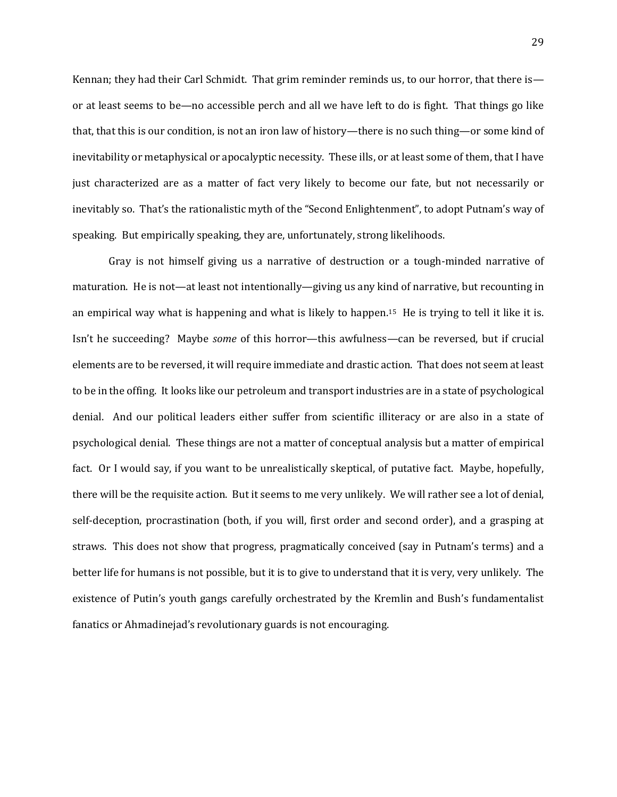Kennan; they had their Carl Schmidt. That grim reminder reminds us, to our horror, that there is or at least seems to be—no accessible perch and all we have left to do is fight. That things go like that, that this is our condition, is not an iron law of history—there is no such thing—or some kind of inevitability or metaphysical or apocalyptic necessity. These ills, or at least some of them, that I have just characterized are as a matter of fact very likely to become our fate, but not necessarily or inevitably so. That's the rationalistic myth of the "Second Enlightenment", to adopt Putnam's way of speaking. But empirically speaking, they are, unfortunately, strong likelihoods.

Gray is not himself giving us a narrative of destruction or a tough-minded narrative of maturation. He is not—at least not intentionally—giving us any kind of narrative, but recounting in an empirical way what is happening and what is likely to happen.15 He is trying to tell it like it is. Isn't he succeeding? Maybe *some* of this horror—this awfulness—can be reversed, but if crucial elements are to be reversed, it will require immediate and drastic action. That does not seem at least to be in the offing. It looks like our petroleum and transport industries are in a state of psychological denial. And our political leaders either suffer from scientific illiteracy or are also in a state of psychological denial. These things are not a matter of conceptual analysis but a matter of empirical fact. Or I would say, if you want to be unrealistically skeptical, of putative fact. Maybe, hopefully, there will be the requisite action. But it seems to me very unlikely. We will rather see a lot of denial, self-deception, procrastination (both, if you will, first order and second order), and a grasping at straws. This does not show that progress, pragmatically conceived (say in Putnam's terms) and a better life for humans is not possible, but it is to give to understand that it is very, very unlikely. The existence of Putin's youth gangs carefully orchestrated by the Kremlin and Bush's fundamentalist fanatics or Ahmadinejad's revolutionary guards is not encouraging.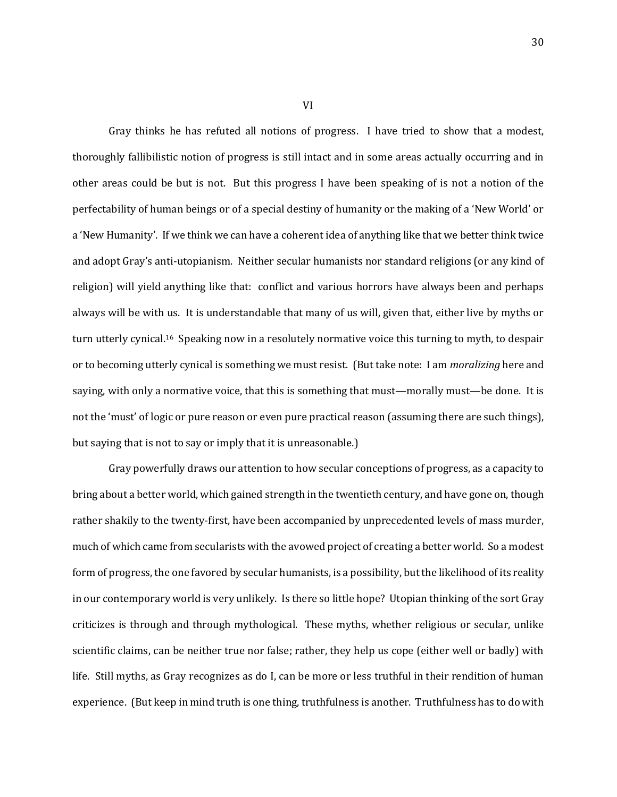Gray thinks he has refuted all notions of progress. I have tried to show that a modest, thoroughly fallibilistic notion of progress is still intact and in some areas actually occurring and in other areas could be but is not. But this progress I have been speaking of is not a notion of the perfectability of human beings or of a special destiny of humanity or the making of a 'New World' or a 'New Humanity'. If we think we can have a coherent idea of anything like that we better think twice and adopt Gray's anti-utopianism. Neither secular humanists nor standard religions (or any kind of religion) will yield anything like that: conflict and various horrors have always been and perhaps always will be with us. It is understandable that many of us will, given that, either live by myths or turn utterly cynical.16 Speaking now in a resolutely normative voice this turning to myth, to despair or to becoming utterly cynical is something we must resist. (But take note: I am *moralizing* here and saying, with only a normative voice, that this is something that must—morally must—be done. It is not the 'must' of logic or pure reason or even pure practical reason (assuming there are such things), but saying that is not to say or imply that it is unreasonable.)

Gray powerfully draws our attention to how secular conceptions of progress, as a capacity to bring about a better world, which gained strength in the twentieth century, and have gone on, though rather shakily to the twenty-first, have been accompanied by unprecedented levels of mass murder, much of which came from secularists with the avowed project of creating a better world. So a modest form of progress, the one favored by secular humanists, is a possibility, but the likelihood of its reality in our contemporary world is very unlikely. Is there so little hope? Utopian thinking of the sort Gray criticizes is through and through mythological. These myths, whether religious or secular, unlike scientific claims, can be neither true nor false; rather, they help us cope (either well or badly) with life. Still myths, as Gray recognizes as do I, can be more or less truthful in their rendition of human experience. (But keep in mind truth is one thing, truthfulness is another. Truthfulness has to do with

VI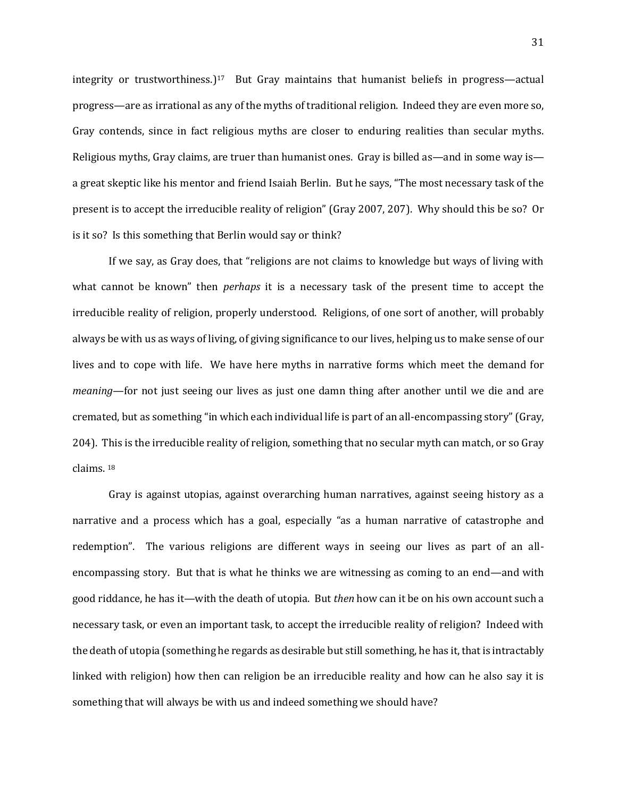integrity or trustworthiness.)<sup>17</sup> But Gray maintains that humanist beliefs in progress—actual progress—are as irrational as any of the myths of traditional religion. Indeed they are even more so, Gray contends, since in fact religious myths are closer to enduring realities than secular myths. Religious myths, Gray claims, are truer than humanist ones. Gray is billed as—and in some way is a great skeptic like his mentor and friend Isaiah Berlin. But he says, "The most necessary task of the present is to accept the irreducible reality of religion" (Gray 2007, 207). Why should this be so? Or is it so? Is this something that Berlin would say or think?

If we say, as Gray does, that "religions are not claims to knowledge but ways of living with what cannot be known" then *perhaps* it is a necessary task of the present time to accept the irreducible reality of religion, properly understood. Religions, of one sort of another, will probably always be with us as ways of living, of giving significance to our lives, helping us to make sense of our lives and to cope with life. We have here myths in narrative forms which meet the demand for *meaning*—for not just seeing our lives as just one damn thing after another until we die and are cremated, but as something "in which each individual life is part of an all-encompassing story" (Gray, 204). This is the irreducible reality of religion, something that no secular myth can match, or so Gray claims. <sup>18</sup>

Gray is against utopias, against overarching human narratives, against seeing history as a narrative and a process which has a goal, especially "as a human narrative of catastrophe and redemption". The various religions are different ways in seeing our lives as part of an allencompassing story. But that is what he thinks we are witnessing as coming to an end—and with good riddance, he has it—with the death of utopia. But *then* how can it be on his own account such a necessary task, or even an important task, to accept the irreducible reality of religion? Indeed with the death of utopia (something he regards as desirable but still something, he has it, that is intractably linked with religion) how then can religion be an irreducible reality and how can he also say it is something that will always be with us and indeed something we should have?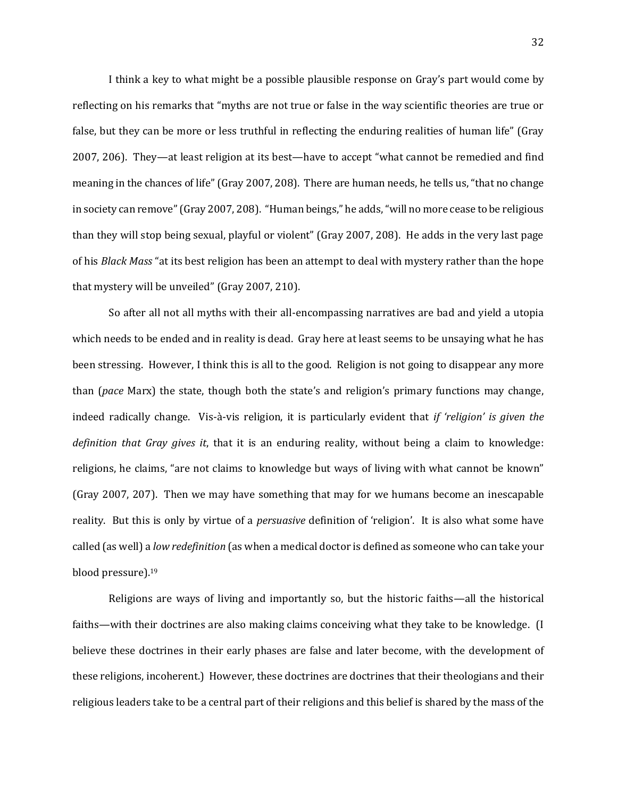I think a key to what might be a possible plausible response on Gray's part would come by reflecting on his remarks that "myths are not true or false in the way scientific theories are true or false, but they can be more or less truthful in reflecting the enduring realities of human life" (Gray 2007, 206). They—at least religion at its best—have to accept "what cannot be remedied and find meaning in the chances of life" (Gray 2007, 208). There are human needs, he tells us, "that no change in society can remove" (Gray 2007, 208). "Human beings," he adds,"will no more cease to be religious than they will stop being sexual, playful or violent" (Gray 2007, 208). He adds in the very last page of his *Black Mass* "at its best religion has been an attempt to deal with mystery rather than the hope that mystery will be unveiled" (Gray 2007, 210).

So after all not all myths with their all-encompassing narratives are bad and yield a utopia which needs to be ended and in reality is dead. Gray here at least seems to be unsaying what he has been stressing. However, I think this is all to the good. Religion is not going to disappear any more than (*pace* Marx) the state, though both the state's and religion's primary functions may change, indeed radically change. Vis-à-vis religion, it is particularly evident that *if 'religion' is given the definition that Gray gives it*, that it is an enduring reality, without being a claim to knowledge: religions, he claims, "are not claims to knowledge but ways of living with what cannot be known" (Gray 2007, 207). Then we may have something that may for we humans become an inescapable reality. But this is only by virtue of a *persuasive* definition of 'religion'. It is also what some have called (as well) a *low redefinition* (as when a medical doctor is defined as someone who can take your blood pressure).<sup>19</sup>

Religions are ways of living and importantly so, but the historic faiths—all the historical faiths—with their doctrines are also making claims conceiving what they take to be knowledge. (I believe these doctrines in their early phases are false and later become, with the development of these religions, incoherent.) However, these doctrines are doctrines that their theologians and their religious leaders take to be a central part of their religions and this belief is shared by the mass of the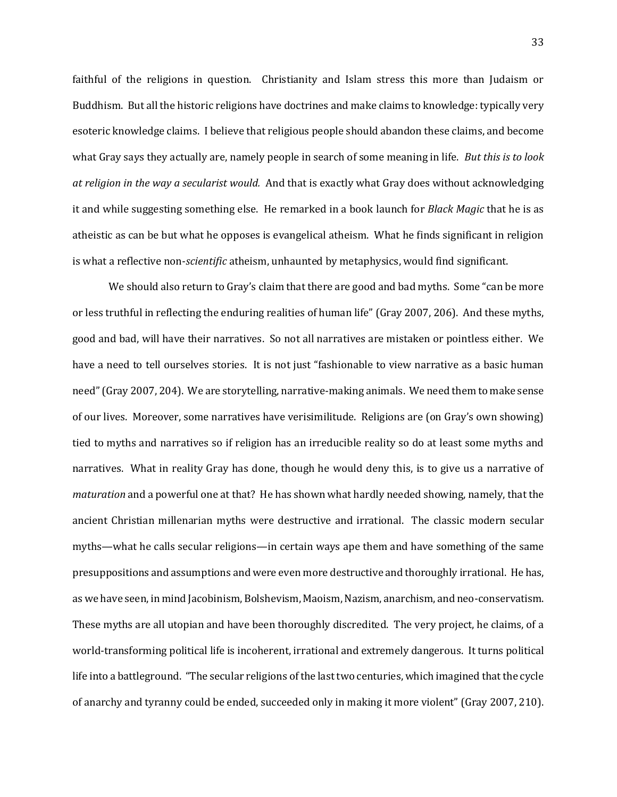faithful of the religions in question. Christianity and Islam stress this more than Judaism or Buddhism. But all the historic religions have doctrines and make claims to knowledge: typically very esoteric knowledge claims. I believe that religious people should abandon these claims, and become what Gray says they actually are, namely people in search of some meaning in life. *But this is to look at religion in the way a secularist would.* And that is exactly what Gray does without acknowledging it and while suggesting something else. He remarked in a book launch for *Black Magic* that he is as atheistic as can be but what he opposes is evangelical atheism. What he finds significant in religion is what a reflective non-*scientific* atheism, unhaunted by metaphysics, would find significant.

We should also return to Gray's claim that there are good and bad myths. Some "can be more or less truthful in reflecting the enduring realities of human life" (Gray 2007, 206). And these myths, good and bad, will have their narratives. So not all narratives are mistaken or pointless either. We have a need to tell ourselves stories. It is not just "fashionable to view narrative as a basic human need" (Gray 2007, 204). We are storytelling, narrative-making animals. We need them to make sense of our lives. Moreover, some narratives have verisimilitude. Religions are (on Gray's own showing) tied to myths and narratives so if religion has an irreducible reality so do at least some myths and narratives. What in reality Gray has done, though he would deny this, is to give us a narrative of *maturation* and a powerful one at that? He has shown what hardly needed showing, namely, that the ancient Christian millenarian myths were destructive and irrational. The classic modern secular myths—what he calls secular religions—in certain ways ape them and have something of the same presuppositions and assumptions and were even more destructive and thoroughly irrational. He has, as we have seen, in mind Jacobinism, Bolshevism, Maoism, Nazism, anarchism, and neo-conservatism. These myths are all utopian and have been thoroughly discredited. The very project, he claims, of a world-transforming political life is incoherent, irrational and extremely dangerous. It turns political life into a battleground. "The secular religions of the last two centuries, which imagined that the cycle of anarchy and tyranny could be ended, succeeded only in making it more violent" (Gray 2007, 210).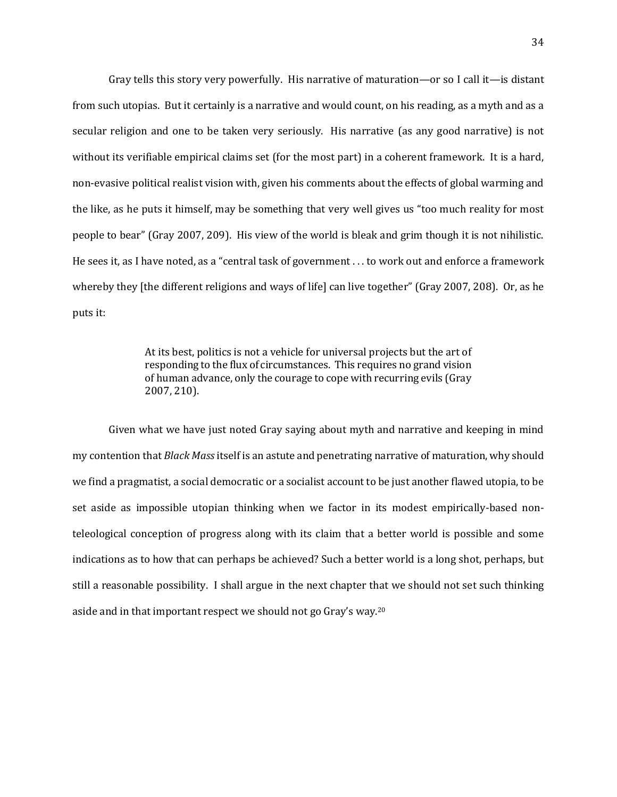Gray tells this story very powerfully. His narrative of maturation—or so I call it—is distant from such utopias. But it certainly is a narrative and would count, on his reading, as a myth and as a secular religion and one to be taken very seriously. His narrative (as any good narrative) is not without its verifiable empirical claims set (for the most part) in a coherent framework. It is a hard, non-evasive political realist vision with, given his comments about the effects of global warming and the like, as he puts it himself, may be something that very well gives us "too much reality for most people to bear" (Gray 2007, 209). His view of the world is bleak and grim though it is not nihilistic. He sees it, as I have noted, as a "central task of government . . . to work out and enforce a framework whereby they [the different religions and ways of life] can live together" (Gray 2007, 208). Or, as he puts it:

> At its best, politics is not a vehicle for universal projects but the art of responding to the flux of circumstances. This requires no grand vision of human advance, only the courage to cope with recurring evils (Gray 2007, 210).

Given what we have just noted Gray saying about myth and narrative and keeping in mind my contention that *Black Mass* itself is an astute and penetrating narrative of maturation, why should we find a pragmatist, a social democratic or a socialist account to be just another flawed utopia, to be set aside as impossible utopian thinking when we factor in its modest empirically-based nonteleological conception of progress along with its claim that a better world is possible and some indications as to how that can perhaps be achieved? Such a better world is a long shot, perhaps, but still a reasonable possibility. I shall argue in the next chapter that we should not set such thinking aside and in that important respect we should not go Gray's way.20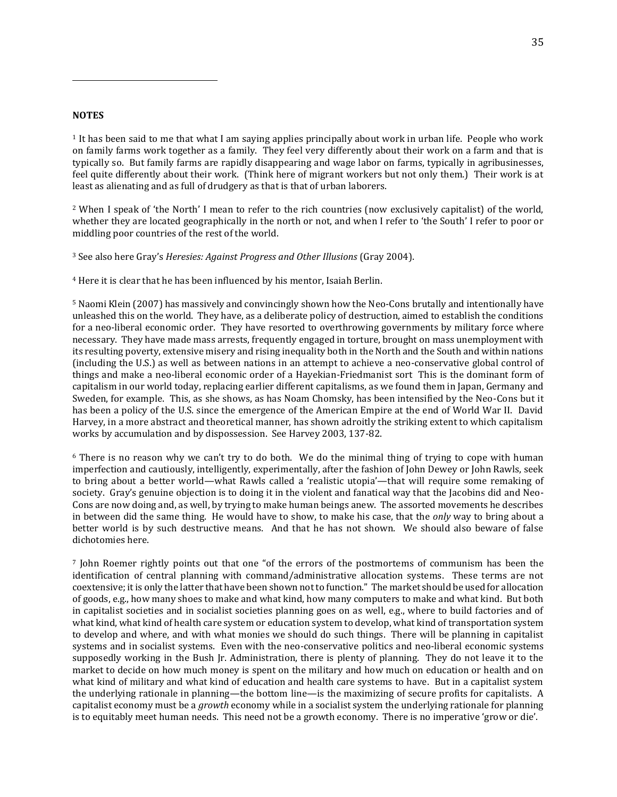#### **NOTES**

 $\overline{a}$ 

<sup>1</sup> It has been said to me that what I am saying applies principally about work in urban life. People who work on family farms work together as a family. They feel very differently about their work on a farm and that is typically so. But family farms are rapidly disappearing and wage labor on farms, typically in agribusinesses, feel quite differently about their work. (Think here of migrant workers but not only them.) Their work is at least as alienating and as full of drudgery as that is that of urban laborers.

<sup>2</sup> When I speak of 'the North' I mean to refer to the rich countries (now exclusively capitalist) of the world, whether they are located geographically in the north or not, and when I refer to 'the South' I refer to poor or middling poor countries of the rest of the world.

<sup>3</sup> See also here Gray's *Heresies: Against Progress and Other Illusions* (Gray 2004).

<sup>4</sup> Here it is clear that he has been influenced by his mentor, Isaiah Berlin.

<sup>5</sup> Naomi Klein (2007) has massively and convincingly shown how the Neo-Cons brutally and intentionally have unleashed this on the world. They have, as a deliberate policy of destruction, aimed to establish the conditions for a neo-liberal economic order. They have resorted to overthrowing governments by military force where necessary. They have made mass arrests, frequently engaged in torture, brought on mass unemployment with its resulting poverty, extensive misery and rising inequality both in the North and the South and within nations (including the U.S.) as well as between nations in an attempt to achieve a neo-conservative global control of things and make a neo-liberal economic order of a Hayekian-Friedmanist sort This is the dominant form of capitalism in our world today, replacing earlier different capitalisms, as we found them in Japan, Germany and Sweden, for example. This, as she shows, as has Noam Chomsky, has been intensified by the Neo-Cons but it has been a policy of the U.S. since the emergence of the American Empire at the end of World War II. David Harvey, in a more abstract and theoretical manner, has shown adroitly the striking extent to which capitalism works by accumulation and by dispossession. See Harvey 2003, 137-82.

<sup>6</sup> There is no reason why we can't try to do both. We do the minimal thing of trying to cope with human imperfection and cautiously, intelligently, experimentally, after the fashion of John Dewey or John Rawls, seek to bring about a better world—what Rawls called a 'realistic utopia'—that will require some remaking of society. Gray's genuine objection is to doing it in the violent and fanatical way that the Jacobins did and Neo-Cons are now doing and, as well, by trying to make human beings anew. The assorted movements he describes in between did the same thing. He would have to show, to make his case, that the *only* way to bring about a better world is by such destructive means. And that he has not shown. We should also beware of false dichotomies here.

<sup>7</sup> John Roemer rightly points out that one "of the errors of the postmortems of communism has been the identification of central planning with command/administrative allocation systems. These terms are not coextensive; it is only the latter that have been shown not to function." The market should be used for allocation of goods, e.g., how many shoes to make and what kind, how many computers to make and what kind. But both in capitalist societies and in socialist societies planning goes on as well, e.g., where to build factories and of what kind, what kind of health care system or education system to develop, what kind of transportation system to develop and where, and with what monies we should do such things. There will be planning in capitalist systems and in socialist systems. Even with the neo-conservative politics and neo-liberal economic systems supposedly working in the Bush Jr. Administration, there is plenty of planning. They do not leave it to the market to decide on how much money is spent on the military and how much on education or health and on what kind of military and what kind of education and health care systems to have. But in a capitalist system the underlying rationale in planning—the bottom line—is the maximizing of secure profits for capitalists. A capitalist economy must be a *growth* economy while in a socialist system the underlying rationale for planning is to equitably meet human needs. This need not be a growth economy. There is no imperative 'grow or die'.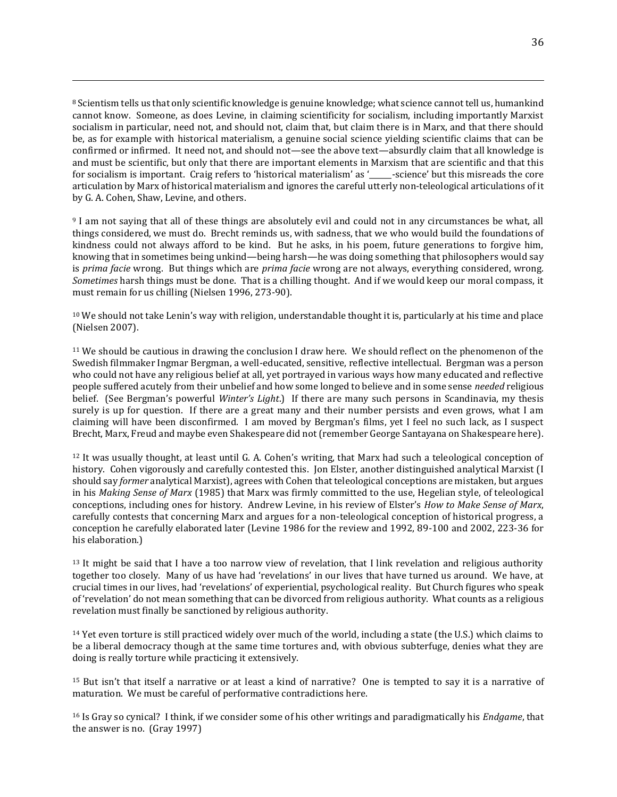<sup>8</sup> Scientism tells us that only scientific knowledge is genuine knowledge; what science cannot tell us, humankind cannot know. Someone, as does Levine, in claiming scientificity for socialism, including importantly Marxist socialism in particular, need not, and should not, claim that, but claim there is in Marx, and that there should be, as for example with historical materialism, a genuine social science yielding scientific claims that can be confirmed or infirmed. It need not, and should not—see the above text—absurdly claim that all knowledge is and must be scientific, but only that there are important elements in Marxism that are scientific and that this for socialism is important. Craig refers to 'historical materialism' as '\_\_\_\_\_\_-science' but this misreads the core articulation by Marx of historical materialism and ignores the careful utterly non-teleological articulations of it by G. A. Cohen, Shaw, Levine, and others.

 $\overline{a}$ 

<sup>9</sup> I am not saying that all of these things are absolutely evil and could not in any circumstances be what, all things considered, we must do. Brecht reminds us, with sadness, that we who would build the foundations of kindness could not always afford to be kind. But he asks, in his poem, future generations to forgive him, knowing that in sometimes being unkind—being harsh—he was doing something that philosophers would say is *prima facie* wrong. But things which are *prima facie* wrong are not always, everything considered, wrong. *Sometimes* harsh things must be done. That is a chilling thought. And if we would keep our moral compass, it must remain for us chilling (Nielsen 1996, 273-90).

<sup>10</sup> We should not take Lenin's way with religion, understandable thought it is, particularly at his time and place (Nielsen 2007).

<sup>11</sup> We should be cautious in drawing the conclusion I draw here. We should reflect on the phenomenon of the Swedish filmmaker Ingmar Bergman, a well-educated, sensitive, reflective intellectual. Bergman was a person who could not have any religious belief at all, yet portrayed in various ways how many educated and reflective people suffered acutely from their unbelief and how some longed to believe and in some sense *needed* religious belief. (See Bergman's powerful *Winter's Light*.) If there are many such persons in Scandinavia, my thesis surely is up for question. If there are a great many and their number persists and even grows, what I am claiming will have been disconfirmed. I am moved by Bergman's films, yet I feel no such lack, as I suspect Brecht, Marx, Freud and maybe even Shakespeare did not (remember George Santayana on Shakespeare here).

<sup>12</sup> It was usually thought, at least until G. A. Cohen's writing, that Marx had such a teleological conception of history. Cohen vigorously and carefully contested this. Jon Elster, another distinguished analytical Marxist (I should say *former* analytical Marxist), agrees with Cohen that teleological conceptions are mistaken, but argues in his *Making Sense of Marx* (1985) that Marx was firmly committed to the use, Hegelian style, of teleological conceptions, including ones for history. Andrew Levine, in his review of Elster's *How to Make Sense of Marx*, carefully contests that concerning Marx and argues for a non-teleological conception of historical progress, a conception he carefully elaborated later (Levine 1986 for the review and 1992, 89-100 and 2002, 223-36 for his elaboration.)

<sup>13</sup> It might be said that I have a too narrow view of revelation, that I link revelation and religious authority together too closely. Many of us have had 'revelations' in our lives that have turned us around. We have, at crucial times in our lives, had 'revelations' of experiential, psychological reality. But Church figures who speak of 'revelation' do not mean something that can be divorced from religious authority. What counts as a religious revelation must finally be sanctioned by religious authority.

<sup>14</sup> Yet even torture is still practiced widely over much of the world, including a state (the U.S.) which claims to be a liberal democracy though at the same time tortures and, with obvious subterfuge, denies what they are doing is really torture while practicing it extensively.

<sup>15</sup> But isn't that itself a narrative or at least a kind of narrative? One is tempted to say it is a narrative of maturation. We must be careful of performative contradictions here.

<sup>16</sup> Is Gray so cynical? I think, if we consider some of his other writings and paradigmatically his *Endgame*, that the answer is no. (Gray 1997)